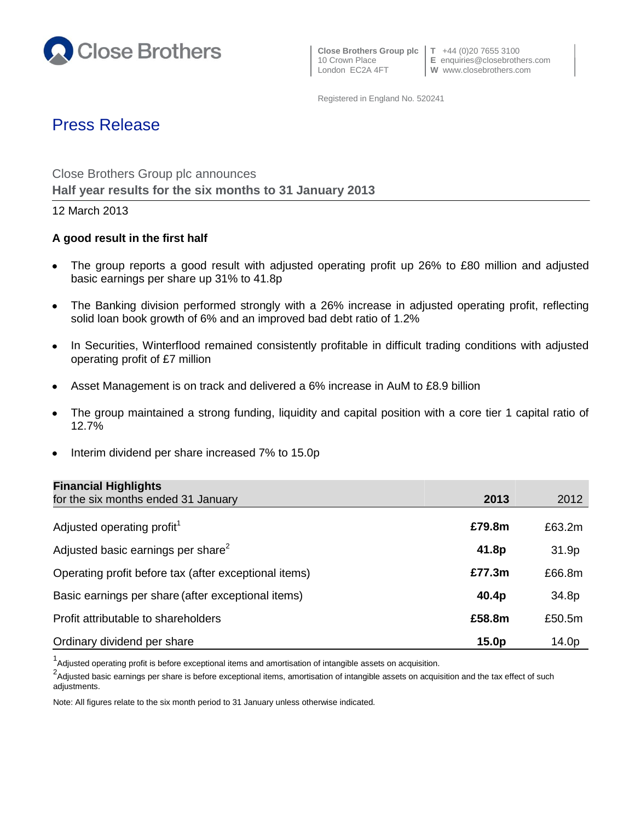

 **Close Brothers Group plc T** +44 (0)20 7655 3100 10 Crown Place **E** enquiries@closebrothers.com<br>
London EC2A 4FT **W** www.closebrothers.com

**W** www.closebrothers.com

Registered in England No. 520241

# Press Release

Close Brothers Group plc announces **Half year results for the six months to 31 January 2013**

12 March 2013

## **A good result in the first half**

- The group reports a good result with adjusted operating profit up 26% to £80 million and adjusted  $\bullet$ basic earnings per share up 31% to 41.8p
- The Banking division performed strongly with a 26% increase in adjusted operating profit, reflecting  $\bullet$ solid loan book growth of 6% and an improved bad debt ratio of 1.2%
- In Securities, Winterflood remained consistently profitable in difficult trading conditions with adjusted  $\bullet$ operating profit of £7 million
- Asset Management is on track and delivered a 6% increase in AuM to £8.9 billion
- The group maintained a strong funding, liquidity and capital position with a core tier 1 capital ratio of 12.7%
- Interim dividend per share increased 7% to 15.0p

## **Financial Highlights**

| for the six months ended 31 January                   | 2013   | 2012   |
|-------------------------------------------------------|--------|--------|
| Adjusted operating profit <sup>1</sup>                | £79.8m | £63.2m |
| Adjusted basic earnings per share <sup>2</sup>        | 41.8p  | 31.9p  |
| Operating profit before tax (after exceptional items) | £77.3m | £66.8m |
| Basic earnings per share (after exceptional items)    | 40.4p  | 34.8p  |
| Profit attributable to shareholders                   | £58.8m | £50.5m |
| Ordinary dividend per share                           | 15.0p  | 14.0p  |

 $1$ Adjusted operating profit is before exceptional items and amortisation of intangible assets on acquisition.

 $^2$ Adjusted basic earnings per share is before exceptional items, amortisation of intangible assets on acquisition and the tax effect of such adjustments.

Note: All figures relate to the six month period to 31 January unless otherwise indicated.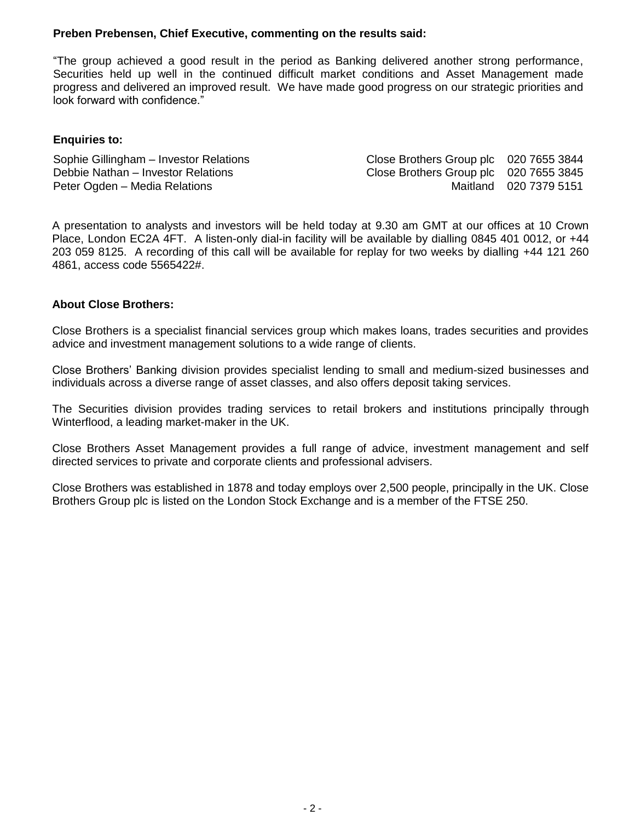#### **Preben Prebensen, Chief Executive, commenting on the results said:**

"The group achieved a good result in the period as Banking delivered another strong performance, Securities held up well in the continued difficult market conditions and Asset Management made progress and delivered an improved result. We have made good progress on our strategic priorities and look forward with confidence."

### **Enquiries to:**

Sophie Gillingham – Investor Relations<br>
Debbie Nathan – Investor Relations<br>
Close Brothers Group plc 020 7655 3845 Close Brothers Group plc 020 7655 3845 Peter Ogden – Media Relations Matthews Maitland 020 7379 5151

A presentation to analysts and investors will be held today at 9.30 am GMT at our offices at 10 Crown Place, London EC2A 4FT. A listen-only dial-in facility will be available by dialling 0845 401 0012, or +44 203 059 8125. A recording of this call will be available for replay for two weeks by dialling +44 121 260 4861, access code 5565422#.

### **About Close Brothers:**

Close Brothers is a specialist financial services group which makes loans, trades securities and provides advice and investment management solutions to a wide range of clients.

Close Brothers' Banking division provides specialist lending to small and medium-sized businesses and individuals across a diverse range of asset classes, and also offers deposit taking services.

The Securities division provides trading services to retail brokers and institutions principally through Winterflood, a leading market-maker in the UK.

Close Brothers Asset Management provides a full range of advice, investment management and self directed services to private and corporate clients and professional advisers.

Close Brothers was established in 1878 and today employs over 2,500 people, principally in the UK. Close Brothers Group plc is listed on the London Stock Exchange and is a member of the FTSE 250.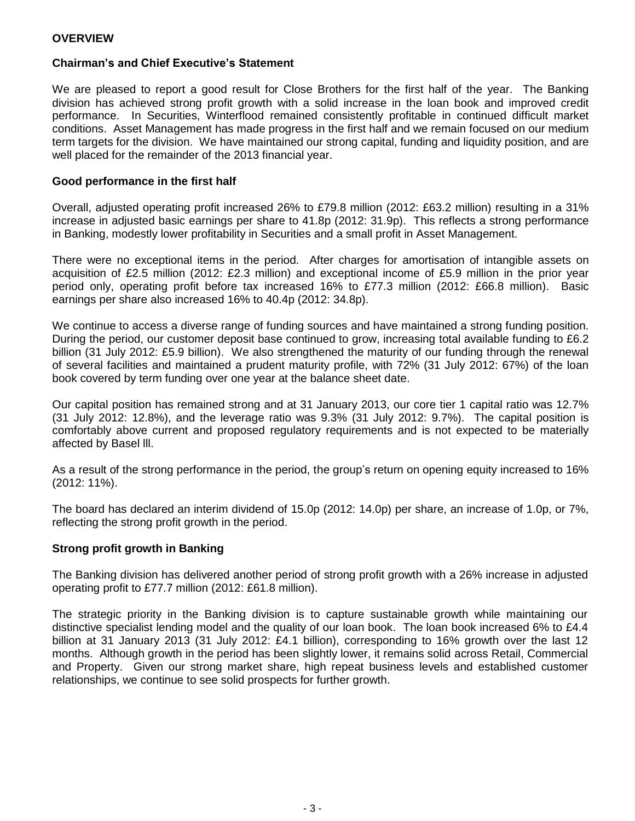## **Chairman's and Chief Executive's Statement**

We are pleased to report a good result for Close Brothers for the first half of the year. The Banking division has achieved strong profit growth with a solid increase in the loan book and improved credit performance. In Securities, Winterflood remained consistently profitable in continued difficult market conditions. Asset Management has made progress in the first half and we remain focused on our medium term targets for the division. We have maintained our strong capital, funding and liquidity position, and are well placed for the remainder of the 2013 financial year.

#### **Good performance in the first half**

Overall, adjusted operating profit increased 26% to £79.8 million (2012: £63.2 million) resulting in a 31% increase in adjusted basic earnings per share to 41.8p (2012: 31.9p). This reflects a strong performance in Banking, modestly lower profitability in Securities and a small profit in Asset Management.

There were no exceptional items in the period. After charges for amortisation of intangible assets on acquisition of £2.5 million (2012: £2.3 million) and exceptional income of £5.9 million in the prior year period only, operating profit before tax increased 16% to £77.3 million (2012: £66.8 million). Basic earnings per share also increased 16% to 40.4p (2012: 34.8p).

We continue to access a diverse range of funding sources and have maintained a strong funding position. During the period, our customer deposit base continued to grow, increasing total available funding to £6.2 billion (31 July 2012: £5.9 billion). We also strengthened the maturity of our funding through the renewal of several facilities and maintained a prudent maturity profile, with 72% (31 July 2012: 67%) of the loan book covered by term funding over one year at the balance sheet date.

Our capital position has remained strong and at 31 January 2013, our core tier 1 capital ratio was 12.7% (31 July 2012: 12.8%), and the leverage ratio was 9.3% (31 July 2012: 9.7%). The capital position is comfortably above current and proposed regulatory requirements and is not expected to be materially affected by Basel lll.

As a result of the strong performance in the period, the group's return on opening equity increased to 16% (2012: 11%).

The board has declared an interim dividend of 15.0p (2012: 14.0p) per share, an increase of 1.0p, or 7%, reflecting the strong profit growth in the period.

#### **Strong profit growth in Banking**

The Banking division has delivered another period of strong profit growth with a 26% increase in adjusted operating profit to £77.7 million (2012: £61.8 million).

The strategic priority in the Banking division is to capture sustainable growth while maintaining our distinctive specialist lending model and the quality of our loan book. The loan book increased 6% to £4.4 billion at 31 January 2013 (31 July 2012: £4.1 billion), corresponding to 16% growth over the last 12 months. Although growth in the period has been slightly lower, it remains solid across Retail, Commercial and Property. Given our strong market share, high repeat business levels and established customer relationships, we continue to see solid prospects for further growth.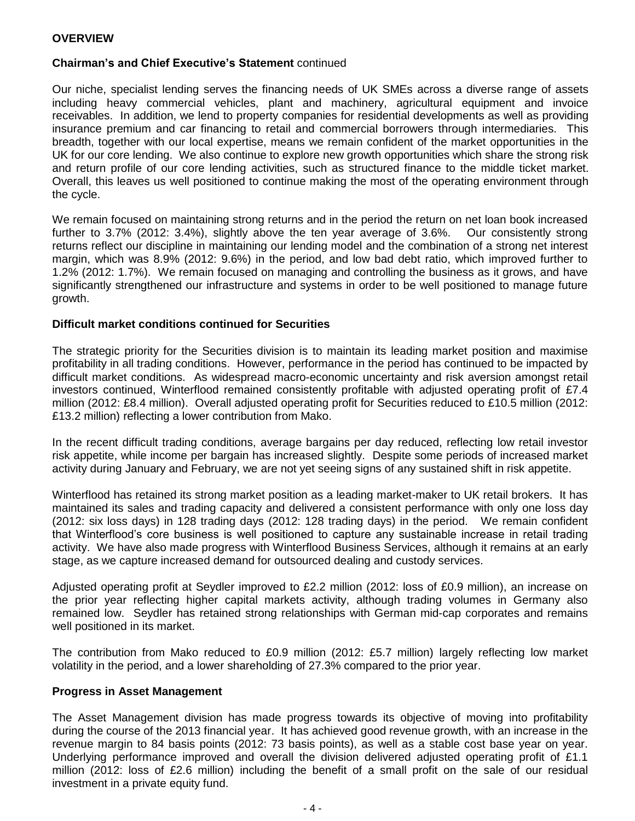## **OVERVIEW**

### **Chairman's and Chief Executive's Statement** continued

Our niche, specialist lending serves the financing needs of UK SMEs across a diverse range of assets including heavy commercial vehicles, plant and machinery, agricultural equipment and invoice receivables. In addition, we lend to property companies for residential developments as well as providing insurance premium and car financing to retail and commercial borrowers through intermediaries. This breadth, together with our local expertise, means we remain confident of the market opportunities in the UK for our core lending. We also continue to explore new growth opportunities which share the strong risk and return profile of our core lending activities, such as structured finance to the middle ticket market. Overall, this leaves us well positioned to continue making the most of the operating environment through the cycle.

We remain focused on maintaining strong returns and in the period the return on net loan book increased further to 3.7% (2012: 3.4%), slightly above the ten year average of 3.6%. Our consistently strong returns reflect our discipline in maintaining our lending model and the combination of a strong net interest margin, which was 8.9% (2012: 9.6%) in the period, and low bad debt ratio, which improved further to 1.2% (2012: 1.7%). We remain focused on managing and controlling the business as it grows, and have significantly strengthened our infrastructure and systems in order to be well positioned to manage future growth.

### **Difficult market conditions continued for Securities**

The strategic priority for the Securities division is to maintain its leading market position and maximise profitability in all trading conditions. However, performance in the period has continued to be impacted by difficult market conditions. As widespread macro-economic uncertainty and risk aversion amongst retail investors continued, Winterflood remained consistently profitable with adjusted operating profit of £7.4 million (2012: £8.4 million). Overall adjusted operating profit for Securities reduced to £10.5 million (2012: £13.2 million) reflecting a lower contribution from Mako.

In the recent difficult trading conditions, average bargains per day reduced, reflecting low retail investor risk appetite, while income per bargain has increased slightly. Despite some periods of increased market activity during January and February, we are not yet seeing signs of any sustained shift in risk appetite.

Winterflood has retained its strong market position as a leading market-maker to UK retail brokers. It has maintained its sales and trading capacity and delivered a consistent performance with only one loss day (2012: six loss days) in 128 trading days (2012: 128 trading days) in the period. We remain confident that Winterflood's core business is well positioned to capture any sustainable increase in retail trading activity. We have also made progress with Winterflood Business Services, although it remains at an early stage, as we capture increased demand for outsourced dealing and custody services.

Adjusted operating profit at Seydler improved to £2.2 million (2012: loss of £0.9 million), an increase on the prior year reflecting higher capital markets activity, although trading volumes in Germany also remained low. Seydler has retained strong relationships with German mid-cap corporates and remains well positioned in its market.

The contribution from Mako reduced to £0.9 million (2012: £5.7 million) largely reflecting low market volatility in the period, and a lower shareholding of 27.3% compared to the prior year.

#### **Progress in Asset Management**

The Asset Management division has made progress towards its objective of moving into profitability during the course of the 2013 financial year. It has achieved good revenue growth, with an increase in the revenue margin to 84 basis points (2012: 73 basis points), as well as a stable cost base year on year. Underlying performance improved and overall the division delivered adjusted operating profit of £1.1 million (2012: loss of £2.6 million) including the benefit of a small profit on the sale of our residual investment in a private equity fund.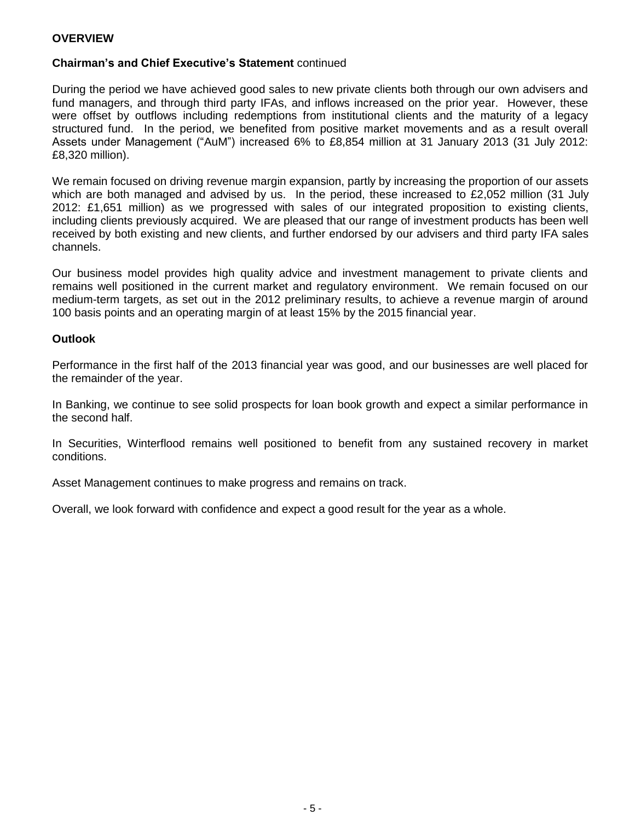## **OVERVIEW**

### **Chairman's and Chief Executive's Statement** continued

During the period we have achieved good sales to new private clients both through our own advisers and fund managers, and through third party IFAs, and inflows increased on the prior year. However, these were offset by outflows including redemptions from institutional clients and the maturity of a legacy structured fund. In the period, we benefited from positive market movements and as a result overall Assets under Management ("AuM") increased 6% to £8,854 million at 31 January 2013 (31 July 2012: £8,320 million).

We remain focused on driving revenue margin expansion, partly by increasing the proportion of our assets which are both managed and advised by us. In the period, these increased to £2,052 million (31 July 2012: £1,651 million) as we progressed with sales of our integrated proposition to existing clients, including clients previously acquired. We are pleased that our range of investment products has been well received by both existing and new clients, and further endorsed by our advisers and third party IFA sales channels.

Our business model provides high quality advice and investment management to private clients and remains well positioned in the current market and regulatory environment. We remain focused on our medium-term targets, as set out in the 2012 preliminary results, to achieve a revenue margin of around 100 basis points and an operating margin of at least 15% by the 2015 financial year.

#### **Outlook**

Performance in the first half of the 2013 financial year was good, and our businesses are well placed for the remainder of the year.

In Banking, we continue to see solid prospects for loan book growth and expect a similar performance in the second half.

In Securities, Winterflood remains well positioned to benefit from any sustained recovery in market conditions.

Asset Management continues to make progress and remains on track.

Overall, we look forward with confidence and expect a good result for the year as a whole.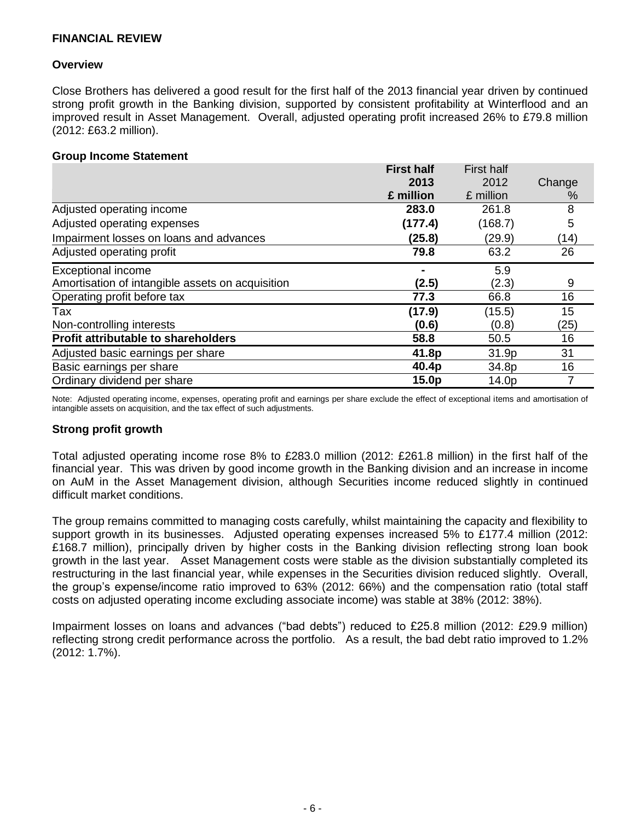#### **Overview**

Close Brothers has delivered a good result for the first half of the 2013 financial year driven by continued strong profit growth in the Banking division, supported by consistent profitability at Winterflood and an improved result in Asset Management. Overall, adjusted operating profit increased 26% to £79.8 million (2012: £63.2 million).

#### **Group Income Statement**

|                                                  | <b>First half</b> | <b>First half</b> |        |
|--------------------------------------------------|-------------------|-------------------|--------|
|                                                  | 2013              | 2012              | Change |
|                                                  | £ million         | £ million         | ℅      |
| Adjusted operating income                        | 283.0             | 261.8             | 8      |
| Adjusted operating expenses                      | (177.4)           | (168.7)           | 5      |
| Impairment losses on loans and advances          | (25.8)            | (29.9)            | (14)   |
| Adjusted operating profit                        | 79.8              | 63.2              | 26     |
| <b>Exceptional income</b>                        |                   | 5.9               |        |
| Amortisation of intangible assets on acquisition | (2.5)             | (2.3)             | 9      |
| Operating profit before tax                      | 77.3              | 66.8              | 16     |
| Tax                                              | (17.9)            | (15.5)            | 15     |
| Non-controlling interests                        | (0.6)             | (0.8)             | (25)   |
| <b>Profit attributable to shareholders</b>       | 58.8              | 50.5              | 16     |
| Adjusted basic earnings per share                | 41.8p             | 31.9p             | 31     |
| Basic earnings per share                         | 40.4p             | 34.8p             | 16     |
| Ordinary dividend per share                      | 15.0 <sub>p</sub> | 14.0p             |        |

Note: Adjusted operating income, expenses, operating profit and earnings per share exclude the effect of exceptional items and amortisation of intangible assets on acquisition, and the tax effect of such adjustments.

#### **Strong profit growth**

Total adjusted operating income rose 8% to £283.0 million (2012: £261.8 million) in the first half of the financial year. This was driven by good income growth in the Banking division and an increase in income on AuM in the Asset Management division, although Securities income reduced slightly in continued difficult market conditions.

The group remains committed to managing costs carefully, whilst maintaining the capacity and flexibility to support growth in its businesses. Adjusted operating expenses increased 5% to £177.4 million (2012: £168.7 million), principally driven by higher costs in the Banking division reflecting strong loan book growth in the last year. Asset Management costs were stable as the division substantially completed its restructuring in the last financial year, while expenses in the Securities division reduced slightly. Overall, the group's expense/income ratio improved to 63% (2012: 66%) and the compensation ratio (total staff costs on adjusted operating income excluding associate income) was stable at 38% (2012: 38%).

Impairment losses on loans and advances ("bad debts") reduced to £25.8 million (2012: £29.9 million) reflecting strong credit performance across the portfolio. As a result, the bad debt ratio improved to 1.2% (2012: 1.7%).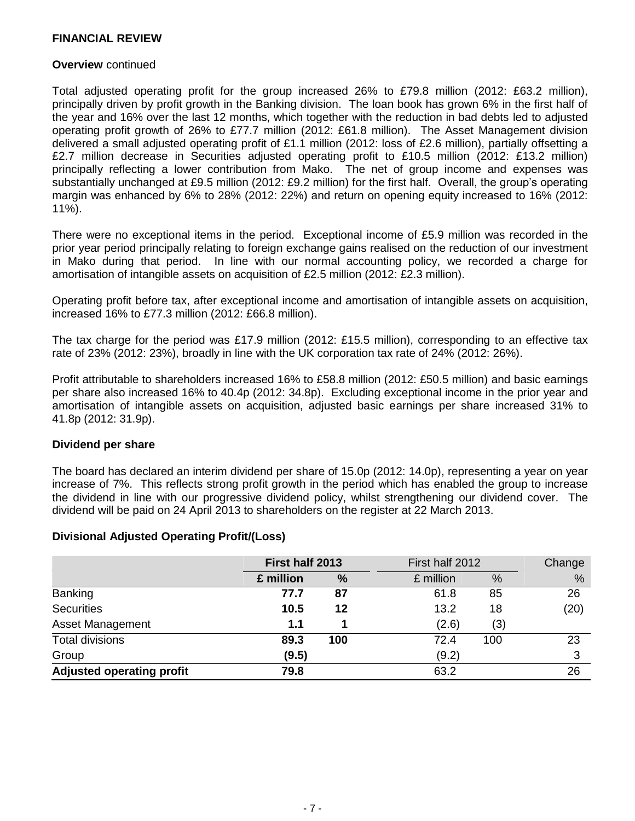#### **Overview** continued

Total adjusted operating profit for the group increased 26% to £79.8 million (2012: £63.2 million), principally driven by profit growth in the Banking division. The loan book has grown 6% in the first half of the year and 16% over the last 12 months, which together with the reduction in bad debts led to adjusted operating profit growth of 26% to £77.7 million (2012: £61.8 million). The Asset Management division delivered a small adjusted operating profit of £1.1 million (2012: loss of £2.6 million), partially offsetting a £2.7 million decrease in Securities adjusted operating profit to £10.5 million (2012: £13.2 million) principally reflecting a lower contribution from Mako. The net of group income and expenses was substantially unchanged at £9.5 million (2012: £9.2 million) for the first half. Overall, the group's operating margin was enhanced by 6% to 28% (2012: 22%) and return on opening equity increased to 16% (2012: 11%).

There were no exceptional items in the period. Exceptional income of £5.9 million was recorded in the prior year period principally relating to foreign exchange gains realised on the reduction of our investment in Mako during that period. In line with our normal accounting policy, we recorded a charge for amortisation of intangible assets on acquisition of £2.5 million (2012: £2.3 million).

Operating profit before tax, after exceptional income and amortisation of intangible assets on acquisition, increased 16% to £77.3 million (2012: £66.8 million).

The tax charge for the period was £17.9 million (2012: £15.5 million), corresponding to an effective tax rate of 23% (2012: 23%), broadly in line with the UK corporation tax rate of 24% (2012: 26%).

Profit attributable to shareholders increased 16% to £58.8 million (2012: £50.5 million) and basic earnings per share also increased 16% to 40.4p (2012: 34.8p). Excluding exceptional income in the prior year and amortisation of intangible assets on acquisition, adjusted basic earnings per share increased 31% to 41.8p (2012: 31.9p).

#### **Dividend per share**

The board has declared an interim dividend per share of 15.0p (2012: 14.0p), representing a year on year increase of 7%. This reflects strong profit growth in the period which has enabled the group to increase the dividend in line with our progressive dividend policy, whilst strengthening our dividend cover. The dividend will be paid on 24 April 2013 to shareholders on the register at 22 March 2013.

#### **Divisional Adjusted Operating Profit/(Loss)**

|                                  | First half 2013 |               | First half 2012 |     | Change |
|----------------------------------|-----------------|---------------|-----------------|-----|--------|
|                                  | £ million       | $\frac{9}{6}$ | £ million       | %   | %      |
| <b>Banking</b>                   | 77.7            | 87            | 61.8            | 85  | 26     |
| <b>Securities</b>                | 10.5            | 12            | 13.2            | 18  | (20)   |
| <b>Asset Management</b>          | 1.1             |               | (2.6)           | (3) |        |
| <b>Total divisions</b>           | 89.3            | 100           | 72.4            | 100 | 23     |
| Group                            | (9.5)           |               | (9.2)           |     | 3      |
| <b>Adjusted operating profit</b> | 79.8            |               | 63.2            |     | 26     |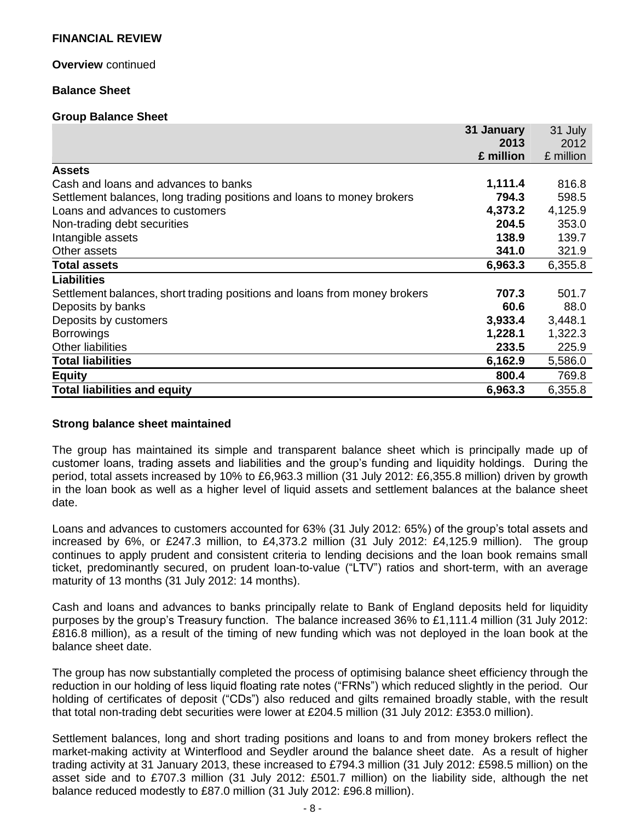#### **Overview** continued

#### **Balance Sheet**

#### **Group Balance Sheet**

|                                                                           | 31 January | 31 July   |
|---------------------------------------------------------------------------|------------|-----------|
|                                                                           | 2013       | 2012      |
|                                                                           | £ million  | £ million |
| <b>Assets</b>                                                             |            |           |
| Cash and loans and advances to banks                                      | 1,111.4    | 816.8     |
| Settlement balances, long trading positions and loans to money brokers    | 794.3      | 598.5     |
| Loans and advances to customers                                           | 4,373.2    | 4,125.9   |
| Non-trading debt securities                                               | 204.5      | 353.0     |
| Intangible assets                                                         | 138.9      | 139.7     |
| Other assets                                                              | 341.0      | 321.9     |
| <b>Total assets</b>                                                       | 6,963.3    | 6,355.8   |
| <b>Liabilities</b>                                                        |            |           |
| Settlement balances, short trading positions and loans from money brokers | 707.3      | 501.7     |
| Deposits by banks                                                         | 60.6       | 88.0      |
| Deposits by customers                                                     | 3,933.4    | 3,448.1   |
| <b>Borrowings</b>                                                         | 1,228.1    | 1,322.3   |
| Other liabilities                                                         | 233.5      | 225.9     |
| <b>Total liabilities</b>                                                  | 6,162.9    | 5,586.0   |
| <b>Equity</b>                                                             | 800.4      | 769.8     |
| <b>Total liabilities and equity</b>                                       | 6,963.3    | 6,355.8   |

#### **Strong balance sheet maintained**

The group has maintained its simple and transparent balance sheet which is principally made up of customer loans, trading assets and liabilities and the group's funding and liquidity holdings. During the period, total assets increased by 10% to £6,963.3 million (31 July 2012: £6,355.8 million) driven by growth in the loan book as well as a higher level of liquid assets and settlement balances at the balance sheet date.

Loans and advances to customers accounted for 63% (31 July 2012: 65%) of the group's total assets and increased by 6%, or £247.3 million, to £4,373.2 million (31 July 2012: £4,125.9 million). The group continues to apply prudent and consistent criteria to lending decisions and the loan book remains small ticket, predominantly secured, on prudent loan-to-value ("LTV") ratios and short-term, with an average maturity of 13 months (31 July 2012: 14 months).

Cash and loans and advances to banks principally relate to Bank of England deposits held for liquidity purposes by the group's Treasury function. The balance increased 36% to £1,111.4 million (31 July 2012: £816.8 million), as a result of the timing of new funding which was not deployed in the loan book at the balance sheet date.

The group has now substantially completed the process of optimising balance sheet efficiency through the reduction in our holding of less liquid floating rate notes ("FRNs") which reduced slightly in the period. Our holding of certificates of deposit ("CDs") also reduced and gilts remained broadly stable, with the result that total non-trading debt securities were lower at £204.5 million (31 July 2012: £353.0 million).

Settlement balances, long and short trading positions and loans to and from money brokers reflect the market-making activity at Winterflood and Seydler around the balance sheet date. As a result of higher trading activity at 31 January 2013, these increased to £794.3 million (31 July 2012: £598.5 million) on the asset side and to £707.3 million (31 July 2012: £501.7 million) on the liability side, although the net balance reduced modestly to £87.0 million (31 July 2012: £96.8 million).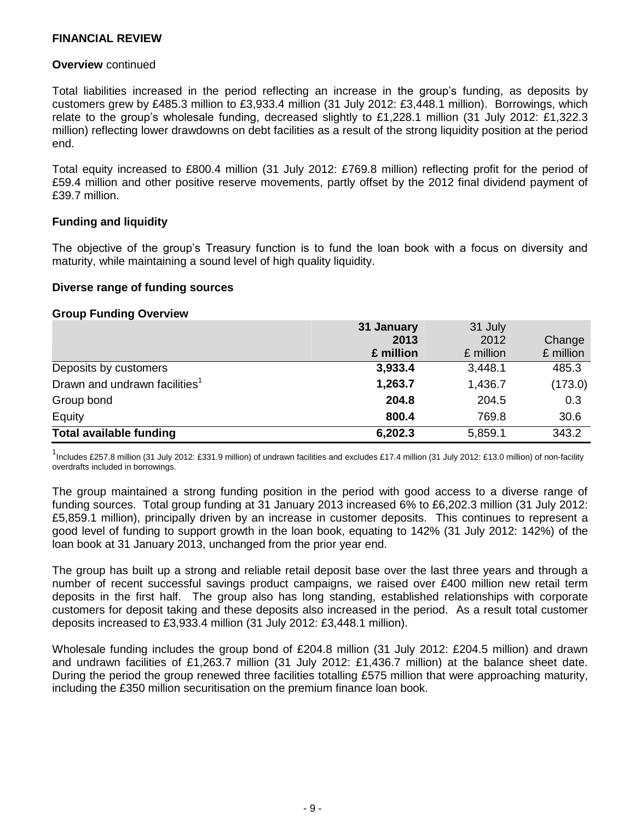#### **Overview** continued

Total liabilities increased in the period reflecting an increase in the group's funding, as deposits by customers grew by £485.3 million to £3,933.4 million (31 July 2012: £3,448.1 million). Borrowings, which relate to the group's wholesale funding, decreased slightly to £1,228.1 million (31 July 2012: £1,322.3 million) reflecting lower drawdowns on debt facilities as a result of the strong liquidity position at the period end.

Total equity increased to £800.4 million (31 July 2012: £769.8 million) reflecting profit for the period of £59.4 million and other positive reserve movements, partly offset by the 2012 final dividend payment of £39.7 million.

#### **Funding and liquidity**

The objective of the group's Treasury function is to fund the loan book with a focus on diversity and maturity, while maintaining a sound level of high quality liquidity.

#### **Diverse range of funding sources**

#### **Group Funding Overview**

|                                           | 31 January<br>2013<br>£ million | 31 July<br>2012<br>£ million | Change<br>£ million |
|-------------------------------------------|---------------------------------|------------------------------|---------------------|
| Deposits by customers                     | 3,933.4                         | 3,448.1                      | 485.3               |
| Drawn and undrawn facilities <sup>1</sup> | 1,263.7                         | 1,436.7                      | (173.0)             |
| Group bond                                | 204.8                           | 204.5                        | 0.3                 |
| Equity                                    | 800.4                           | 769.8                        | 30.6                |
| <b>Total available funding</b>            | 6,202.3                         | 5,859.1                      | 343.2               |

<sup>1</sup>Includes £257.8 million (31 July 2012: £331.9 million) of undrawn facilities and excludes £17.4 million (31 July 2012: £13.0 million) of non-facility overdrafts included in borrowings.

The group maintained a strong funding position in the period with good access to a diverse range of funding sources. Total group funding at 31 January 2013 increased 6% to £6,202.3 million (31 July 2012: £5,859.1 million), principally driven by an increase in customer deposits. This continues to represent a good level of funding to support growth in the loan book, equating to 142% (31 July 2012: 142%) of the loan book at 31 January 2013, unchanged from the prior year end.

The group has built up a strong and reliable retail deposit base over the last three years and through a number of recent successful savings product campaigns, we raised over £400 million new retail term deposits in the first half. The group also has long standing, established relationships with corporate customers for deposit taking and these deposits also increased in the period. As a result total customer deposits increased to £3,933.4 million (31 July 2012: £3,448.1 million).

Wholesale funding includes the group bond of £204.8 million (31 July 2012: £204.5 million) and drawn and undrawn facilities of £1,263.7 million (31 July 2012: £1,436.7 million) at the balance sheet date. During the period the group renewed three facilities totalling £575 million that were approaching maturity, including the £350 million securitisation on the premium finance loan book.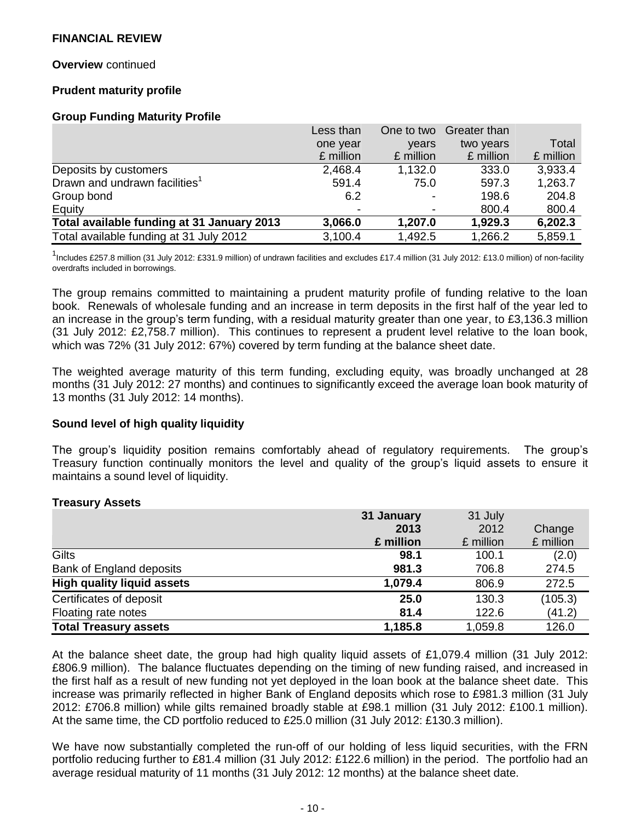#### **Overview** continued

#### **Prudent maturity profile**

#### **Group Funding Maturity Profile**

|                                            | Less than | One to two | Greater than |           |
|--------------------------------------------|-----------|------------|--------------|-----------|
|                                            | one year  | vears      | two years    | Total     |
|                                            | £ million | £ million  | £ million    | £ million |
| Deposits by customers                      | 2,468.4   | 1,132.0    | 333.0        | 3,933.4   |
| Drawn and undrawn facilities <sup>1</sup>  | 591.4     | 75.0       | 597.3        | 1,263.7   |
| Group bond                                 | 6.2       |            | 198.6        | 204.8     |
| Equity                                     |           |            | 800.4        | 800.4     |
| Total available funding at 31 January 2013 | 3,066.0   | 1,207.0    | 1,929.3      | 6,202.3   |
| Total available funding at 31 July 2012    | 3,100.4   | 1,492.5    | 1,266.2      | 5,859.1   |

<sup>1</sup>Includes £257.8 million (31 July 2012: £331.9 million) of undrawn facilities and excludes £17.4 million (31 July 2012: £13.0 million) of non-facility overdrafts included in borrowings.

The group remains committed to maintaining a prudent maturity profile of funding relative to the loan book. Renewals of wholesale funding and an increase in term deposits in the first half of the year led to an increase in the group's term funding, with a residual maturity greater than one year, to £3,136.3 million (31 July 2012: £2,758.7 million). This continues to represent a prudent level relative to the loan book, which was 72% (31 July 2012: 67%) covered by term funding at the balance sheet date.

The weighted average maturity of this term funding, excluding equity, was broadly unchanged at 28 months (31 July 2012: 27 months) and continues to significantly exceed the average loan book maturity of 13 months (31 July 2012: 14 months).

#### **Sound level of high quality liquidity**

The group's liquidity position remains comfortably ahead of regulatory requirements. The group's Treasury function continually monitors the level and quality of the group's liquid assets to ensure it maintains a sound level of liquidity.

#### **Treasury Assets**

|                                   | 31 January | 31 July   |           |
|-----------------------------------|------------|-----------|-----------|
|                                   | 2013       | 2012      | Change    |
|                                   | £ million  | £ million | £ million |
| Gilts                             | 98.1       | 100.1     | (2.0)     |
| <b>Bank of England deposits</b>   | 981.3      | 706.8     | 274.5     |
| <b>High quality liquid assets</b> | 1,079.4    | 806.9     | 272.5     |
| Certificates of deposit           | 25.0       | 130.3     | (105.3)   |
| Floating rate notes               | 81.4       | 122.6     | (41.2)    |
| <b>Total Treasury assets</b>      | 1,185.8    | 1,059.8   | 126.0     |

At the balance sheet date, the group had high quality liquid assets of £1,079.4 million (31 July 2012: £806.9 million). The balance fluctuates depending on the timing of new funding raised, and increased in the first half as a result of new funding not yet deployed in the loan book at the balance sheet date. This increase was primarily reflected in higher Bank of England deposits which rose to £981.3 million (31 July 2012: £706.8 million) while gilts remained broadly stable at £98.1 million (31 July 2012: £100.1 million). At the same time, the CD portfolio reduced to £25.0 million (31 July 2012: £130.3 million).

We have now substantially completed the run-off of our holding of less liquid securities, with the FRN portfolio reducing further to £81.4 million (31 July 2012: £122.6 million) in the period. The portfolio had an average residual maturity of 11 months (31 July 2012: 12 months) at the balance sheet date.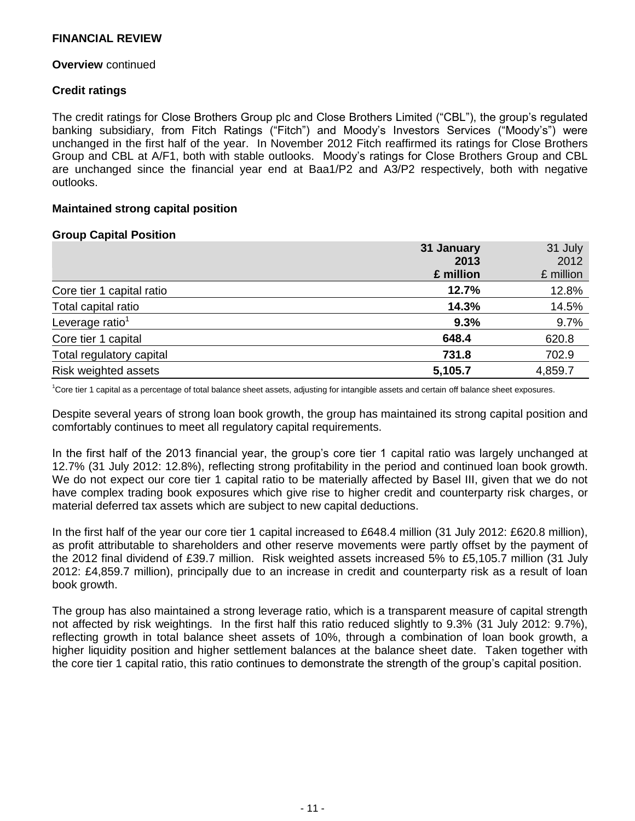#### **Overview** continued

#### **Credit ratings**

The credit ratings for Close Brothers Group plc and Close Brothers Limited ("CBL"), the group's regulated banking subsidiary, from Fitch Ratings ("Fitch") and Moody's Investors Services ("Moody's") were unchanged in the first half of the year. In November 2012 Fitch reaffirmed its ratings for Close Brothers Group and CBL at A/F1, both with stable outlooks. Moody's ratings for Close Brothers Group and CBL are unchanged since the financial year end at Baa1/P2 and A3/P2 respectively, both with negative outlooks.

### **Maintained strong capital position**

#### **Group Capital Position**

|                             | 31 January | 31 July   |
|-----------------------------|------------|-----------|
|                             | 2013       | 2012      |
|                             | £ million  | £ million |
| Core tier 1 capital ratio   | 12.7%      | 12.8%     |
| Total capital ratio         | 14.3%      | 14.5%     |
| Leverage ratio <sup>1</sup> | 9.3%       | 9.7%      |
| Core tier 1 capital         | 648.4      | 620.8     |
| Total regulatory capital    | 731.8      | 702.9     |
| Risk weighted assets        | 5,105.7    | 4,859.7   |

<sup>1</sup>Core tier 1 capital as a percentage of total balance sheet assets, adjusting for intangible assets and certain off balance sheet exposures.

Despite several years of strong loan book growth, the group has maintained its strong capital position and comfortably continues to meet all regulatory capital requirements.

In the first half of the 2013 financial year, the group's core tier 1 capital ratio was largely unchanged at 12.7% (31 July 2012: 12.8%), reflecting strong profitability in the period and continued loan book growth. We do not expect our core tier 1 capital ratio to be materially affected by Basel III, given that we do not have complex trading book exposures which give rise to higher credit and counterparty risk charges, or material deferred tax assets which are subject to new capital deductions.

In the first half of the year our core tier 1 capital increased to £648.4 million (31 July 2012: £620.8 million), as profit attributable to shareholders and other reserve movements were partly offset by the payment of the 2012 final dividend of £39.7 million. Risk weighted assets increased 5% to £5,105.7 million (31 July 2012: £4,859.7 million), principally due to an increase in credit and counterparty risk as a result of loan book growth.

The group has also maintained a strong leverage ratio, which is a transparent measure of capital strength not affected by risk weightings. In the first half this ratio reduced slightly to 9.3% (31 July 2012: 9.7%), reflecting growth in total balance sheet assets of 10%, through a combination of loan book growth, a higher liquidity position and higher settlement balances at the balance sheet date. Taken together with the core tier 1 capital ratio, this ratio continues to demonstrate the strength of the group's capital position.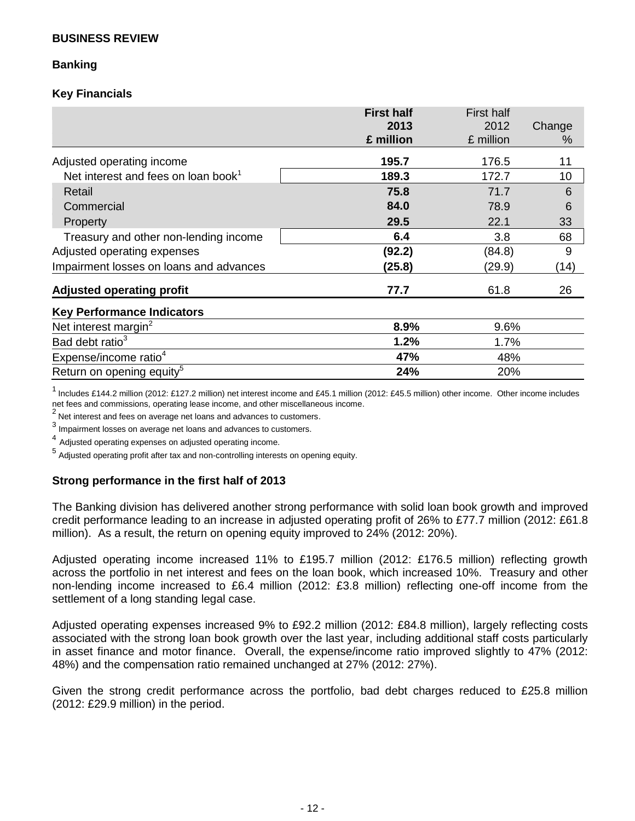## **Banking**

## **Key Financials**

|                                                 | <b>First half</b><br>2013<br>£ million | <b>First half</b><br>2012<br>£ million | Change<br>℅ |
|-------------------------------------------------|----------------------------------------|----------------------------------------|-------------|
| Adjusted operating income                       | 195.7                                  | 176.5                                  | 11          |
| Net interest and fees on loan book <sup>1</sup> | 189.3                                  | 172.7                                  | 10          |
| Retail                                          | 75.8                                   | 71.7                                   | 6           |
| Commercial                                      | 84.0                                   | 78.9                                   | 6           |
| Property                                        | 29.5                                   | 22.1                                   | 33          |
| Treasury and other non-lending income           | 6.4                                    | 3.8                                    | 68          |
| Adjusted operating expenses                     | (92.2)                                 | (84.8)                                 | 9           |
| Impairment losses on loans and advances         | (25.8)                                 | (29.9)                                 | (14)        |
| Adjusted operating profit                       | 77.7                                   | 61.8                                   | 26          |
| <b>Key Performance Indicators</b>               |                                        |                                        |             |
| Net interest margin <sup>2</sup>                | 8.9%                                   | 9.6%                                   |             |
| Bad debt ratio <sup>3</sup>                     | 1.2%                                   | 1.7%                                   |             |
| Expense/income ratio <sup>4</sup>               | 47%                                    | 48%                                    |             |
| Return on opening equity <sup>5</sup>           | 24%                                    | 20%                                    |             |

<sup>1</sup> Includes £144.2 million (2012: £127.2 million) net interest income and £45.1 million (2012: £45.5 million) other income. Other income includes net fees and commissions, operating lease income, and other miscellaneous income.

 $2$  Net interest and fees on average net loans and advances to customers.

<sup>3</sup> Impairment losses on average net loans and advances to customers.

4 Adjusted operating expenses on adjusted operating income.

5 Adjusted operating profit after tax and non-controlling interests on opening equity.

#### **Strong performance in the first half of 2013**

The Banking division has delivered another strong performance with solid loan book growth and improved credit performance leading to an increase in adjusted operating profit of 26% to £77.7 million (2012: £61.8 million). As a result, the return on opening equity improved to 24% (2012: 20%).

Adjusted operating income increased 11% to £195.7 million (2012: £176.5 million) reflecting growth across the portfolio in net interest and fees on the loan book, which increased 10%. Treasury and other non-lending income increased to £6.4 million (2012: £3.8 million) reflecting one-off income from the settlement of a long standing legal case.

Adjusted operating expenses increased 9% to £92.2 million (2012: £84.8 million), largely reflecting costs associated with the strong loan book growth over the last year, including additional staff costs particularly in asset finance and motor finance. Overall, the expense/income ratio improved slightly to 47% (2012: 48%) and the compensation ratio remained unchanged at 27% (2012: 27%).

Given the strong credit performance across the portfolio, bad debt charges reduced to £25.8 million (2012: £29.9 million) in the period.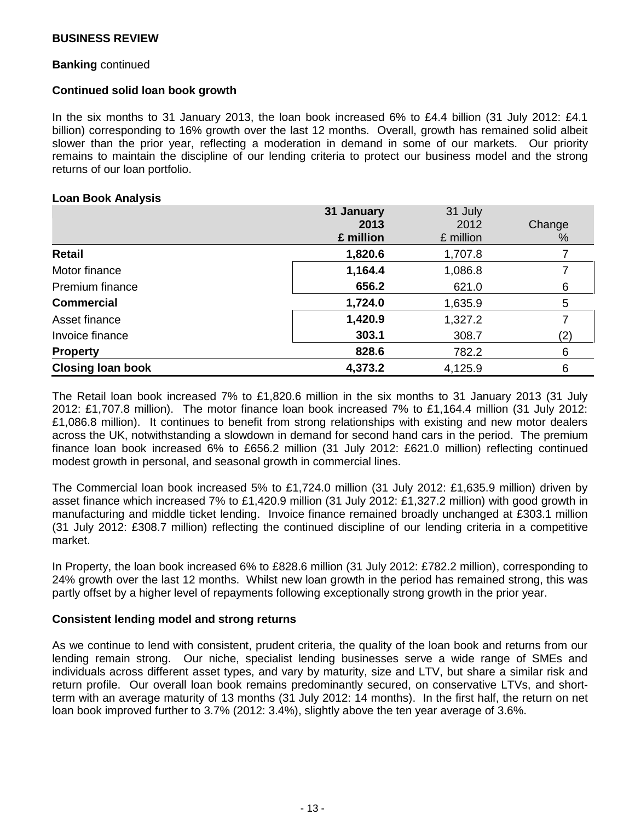#### **Banking** continued

### **Continued solid loan book growth**

In the six months to 31 January 2013, the loan book increased 6% to £4.4 billion (31 July 2012: £4.1 billion) corresponding to 16% growth over the last 12 months. Overall, growth has remained solid albeit slower than the prior year, reflecting a moderation in demand in some of our markets. Our priority remains to maintain the discipline of our lending criteria to protect our business model and the strong returns of our loan portfolio.

#### **Loan Book Analysis**

|                          | 31 January | 31 July   |        |
|--------------------------|------------|-----------|--------|
|                          | 2013       | 2012      | Change |
|                          | £ million  | £ million | %      |
| Retail                   | 1,820.6    | 1,707.8   |        |
| Motor finance            | 1,164.4    | 1,086.8   |        |
| Premium finance          | 656.2      | 621.0     | 6      |
| <b>Commercial</b>        | 1,724.0    | 1,635.9   | 5      |
| Asset finance            | 1,420.9    | 1,327.2   |        |
| Invoice finance          | 303.1      | 308.7     | (2)    |
| <b>Property</b>          | 828.6      | 782.2     | 6      |
| <b>Closing loan book</b> | 4,373.2    | 4,125.9   | 6      |

The Retail loan book increased 7% to £1,820.6 million in the six months to 31 January 2013 (31 July 2012: £1,707.8 million). The motor finance loan book increased 7% to £1,164.4 million (31 July 2012: £1,086.8 million). It continues to benefit from strong relationships with existing and new motor dealers across the UK, notwithstanding a slowdown in demand for second hand cars in the period. The premium finance loan book increased 6% to £656.2 million (31 July 2012: £621.0 million) reflecting continued modest growth in personal, and seasonal growth in commercial lines.

The Commercial loan book increased 5% to £1,724.0 million (31 July 2012: £1,635.9 million) driven by asset finance which increased 7% to £1,420.9 million (31 July 2012: £1,327.2 million) with good growth in manufacturing and middle ticket lending. Invoice finance remained broadly unchanged at £303.1 million (31 July 2012: £308.7 million) reflecting the continued discipline of our lending criteria in a competitive market.

In Property, the loan book increased 6% to £828.6 million (31 July 2012: £782.2 million), corresponding to 24% growth over the last 12 months. Whilst new loan growth in the period has remained strong, this was partly offset by a higher level of repayments following exceptionally strong growth in the prior year.

#### **Consistent lending model and strong returns**

As we continue to lend with consistent, prudent criteria, the quality of the loan book and returns from our lending remain strong. Our niche, specialist lending businesses serve a wide range of SMEs and individuals across different asset types, and vary by maturity, size and LTV, but share a similar risk and return profile. Our overall loan book remains predominantly secured, on conservative LTVs, and shortterm with an average maturity of 13 months (31 July 2012: 14 months). In the first half, the return on net loan book improved further to 3.7% (2012: 3.4%), slightly above the ten year average of 3.6%.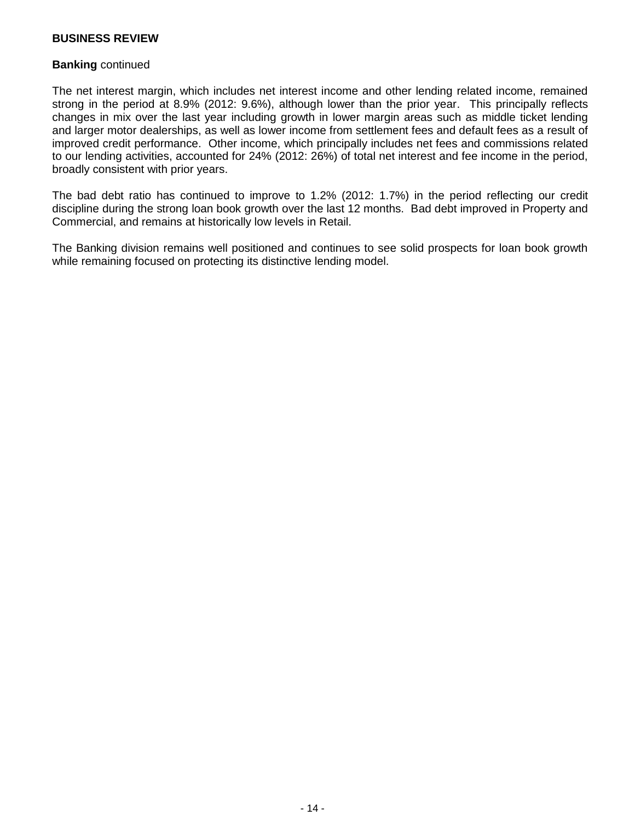#### **Banking** continued

The net interest margin, which includes net interest income and other lending related income, remained strong in the period at 8.9% (2012: 9.6%), although lower than the prior year. This principally reflects changes in mix over the last year including growth in lower margin areas such as middle ticket lending and larger motor dealerships, as well as lower income from settlement fees and default fees as a result of improved credit performance. Other income, which principally includes net fees and commissions related to our lending activities, accounted for 24% (2012: 26%) of total net interest and fee income in the period, broadly consistent with prior years.

The bad debt ratio has continued to improve to 1.2% (2012: 1.7%) in the period reflecting our credit discipline during the strong loan book growth over the last 12 months. Bad debt improved in Property and Commercial, and remains at historically low levels in Retail.

The Banking division remains well positioned and continues to see solid prospects for loan book growth while remaining focused on protecting its distinctive lending model.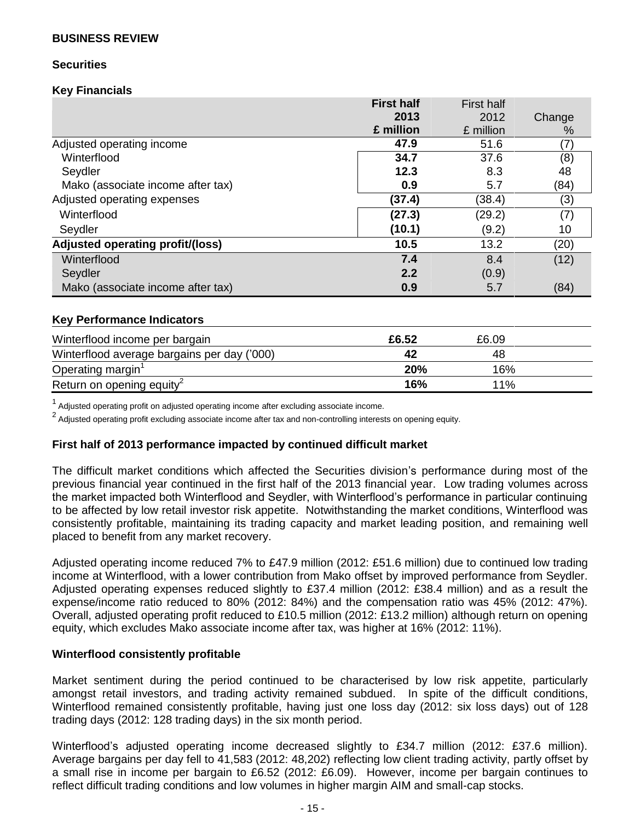## **Securities**

## **Key Financials**

|                                   | <b>First half</b> | <b>First half</b> |        |
|-----------------------------------|-------------------|-------------------|--------|
|                                   | 2013              | 2012              | Change |
|                                   | £ million         | £ million         | ℅      |
| Adjusted operating income         | 47.9              | 51.6              | (7)    |
| Winterflood                       | 34.7              | 37.6              | (8)    |
| Seydler                           | 12.3              | 8.3               | 48     |
| Mako (associate income after tax) | 0.9               | 5.7               | (84)   |
| Adjusted operating expenses       | (37.4)            | (38.4)            | (3)    |
| Winterflood                       | (27.3)            | (29.2)            | (7)    |
| Seydler                           | (10.1)            | (9.2)             | 10     |
| Adjusted operating profit/(loss)  | 10.5              | 13.2              | (20)   |
| Winterflood                       | 7.4               | 8.4               | (12)   |
| Seydler                           | 2.2               | (0.9)             |        |
| Mako (associate income after tax) | 0.9               | 5.7               | (84)   |

### **Key Performance Indicators**

| Winterflood income per bargain              | £6.52 | £6.09 |
|---------------------------------------------|-------|-------|
| Winterflood average bargains per day ('000) |       | 48    |
| Operating margin                            | 20%   | 16%   |
| Return on opening equity                    | 16%   | 11%   |

 $1$  Adjusted operating profit on adjusted operating income after excluding associate income.

<sup>2</sup> Adiusted operating profit excluding associate income after tax and non-controlling interests on opening equity.

## **First half of 2013 performance impacted by continued difficult market**

The difficult market conditions which affected the Securities division's performance during most of the previous financial year continued in the first half of the 2013 financial year. Low trading volumes across the market impacted both Winterflood and Seydler, with Winterflood's performance in particular continuing to be affected by low retail investor risk appetite. Notwithstanding the market conditions, Winterflood was consistently profitable, maintaining its trading capacity and market leading position, and remaining well placed to benefit from any market recovery.

Adjusted operating income reduced 7% to £47.9 million (2012: £51.6 million) due to continued low trading income at Winterflood, with a lower contribution from Mako offset by improved performance from Seydler. Adjusted operating expenses reduced slightly to £37.4 million (2012: £38.4 million) and as a result the expense/income ratio reduced to 80% (2012: 84%) and the compensation ratio was 45% (2012: 47%). Overall, adjusted operating profit reduced to £10.5 million (2012: £13.2 million) although return on opening equity, which excludes Mako associate income after tax, was higher at 16% (2012: 11%).

## **Winterflood consistently profitable**

Market sentiment during the period continued to be characterised by low risk appetite, particularly amongst retail investors, and trading activity remained subdued. In spite of the difficult conditions, Winterflood remained consistently profitable, having just one loss day (2012: six loss days) out of 128 trading days (2012: 128 trading days) in the six month period.

Winterflood's adjusted operating income decreased slightly to £34.7 million (2012: £37.6 million). Average bargains per day fell to 41,583 (2012: 48,202) reflecting low client trading activity, partly offset by a small rise in income per bargain to £6.52 (2012: £6.09). However, income per bargain continues to reflect difficult trading conditions and low volumes in higher margin AIM and small-cap stocks.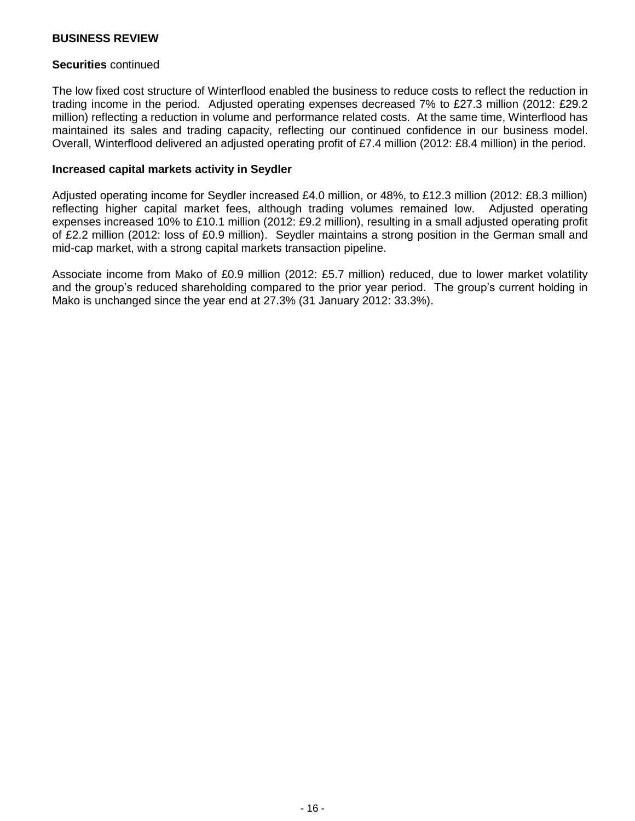#### **Securities** continued

The low fixed cost structure of Winterflood enabled the business to reduce costs to reflect the reduction in trading income in the period. Adjusted operating expenses decreased 7% to £27.3 million (2012: £29.2 million) reflecting a reduction in volume and performance related costs. At the same time, Winterflood has maintained its sales and trading capacity, reflecting our continued confidence in our business model. Overall, Winterflood delivered an adjusted operating profit of £7.4 million (2012: £8.4 million) in the period.

#### **Increased capital markets activity in Seydler**

Adjusted operating income for Seydler increased £4.0 million, or 48%, to £12.3 million (2012: £8.3 million) reflecting higher capital market fees, although trading volumes remained low. Adjusted operating expenses increased 10% to £10.1 million (2012: £9.2 million), resulting in a small adjusted operating profit of £2.2 million (2012: loss of £0.9 million). Seydler maintains a strong position in the German small and mid-cap market, with a strong capital markets transaction pipeline.

Associate income from Mako of £0.9 million (2012: £5.7 million) reduced, due to lower market volatility and the group's reduced shareholding compared to the prior year period. The group's current holding in Mako is unchanged since the year end at 27.3% (31 January 2012: 33.3%).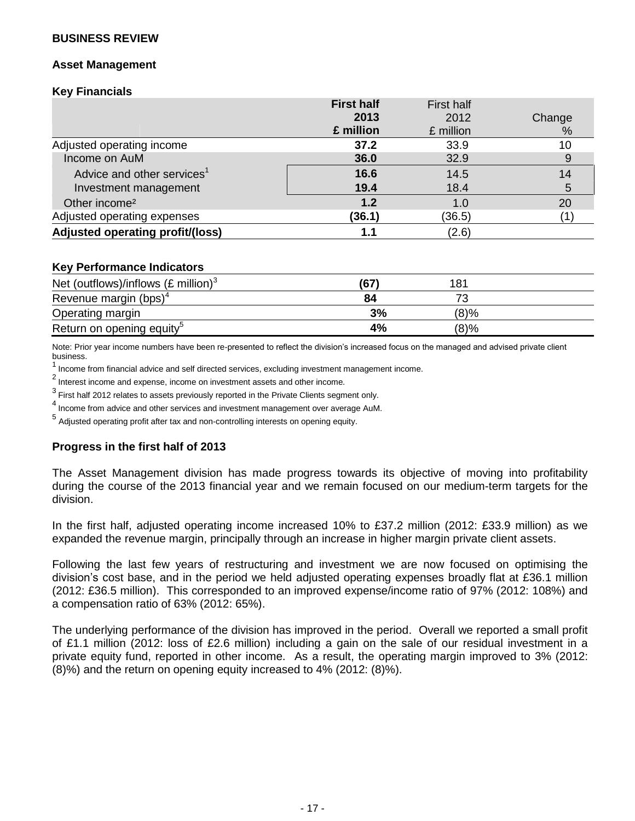### **Asset Management**

### **Key Financials**

|                                        | <b>First half</b> | First half |        |
|----------------------------------------|-------------------|------------|--------|
|                                        | 2013              | 2012       | Change |
|                                        | £ million         | £ million  | %      |
| Adjusted operating income              | 37.2              | 33.9       | 10     |
| Income on AuM                          | 36.0              | 32.9       | 9      |
| Advice and other services <sup>1</sup> | 16.6              | 14.5       | 14     |
| Investment management                  | 19.4              | 18.4       | 5      |
| Other income <sup>2</sup>              | 1.2               | 1.0        | 20     |
| Adjusted operating expenses            | (36.1)            | (36.5)     |        |
| Adjusted operating profit/(loss)       | 1.1               | (2.6)      |        |

### **Key Performance Indicators**

| Net (outflows)/inflows (£ million) <sup>3</sup> | (67 | 181  |  |
|-------------------------------------------------|-----|------|--|
| Revenue margin (bps) $4$                        | 84  |      |  |
| Operating margin                                | 3%  | 8)%  |  |
| Return on opening equity <sup>5</sup>           | 4%  | (8)% |  |

Note: Prior year income numbers have been re-presented to reflect the division's increased focus on the managed and advised private client business.

 $1$  Income from financial advice and self directed services, excluding investment management income.

 $2$  Interest income and expense, income on investment assets and other income.

 $3$  First half 2012 relates to assets previously reported in the Private Clients segment only.

 $<sup>4</sup>$  Income from advice and other services and investment management over average AuM.</sup>

5 Adjusted operating profit after tax and non-controlling interests on opening equity.

## **Progress in the first half of 2013**

The Asset Management division has made progress towards its objective of moving into profitability during the course of the 2013 financial year and we remain focused on our medium-term targets for the division.

In the first half, adjusted operating income increased 10% to £37.2 million (2012: £33.9 million) as we expanded the revenue margin, principally through an increase in higher margin private client assets.

Following the last few years of restructuring and investment we are now focused on optimising the division's cost base, and in the period we held adjusted operating expenses broadly flat at £36.1 million (2012: £36.5 million). This corresponded to an improved expense/income ratio of 97% (2012: 108%) and a compensation ratio of 63% (2012: 65%).

The underlying performance of the division has improved in the period. Overall we reported a small profit of £1.1 million (2012: loss of £2.6 million) including a gain on the sale of our residual investment in a private equity fund, reported in other income. As a result, the operating margin improved to 3% (2012: (8)%) and the return on opening equity increased to 4% (2012: (8)%).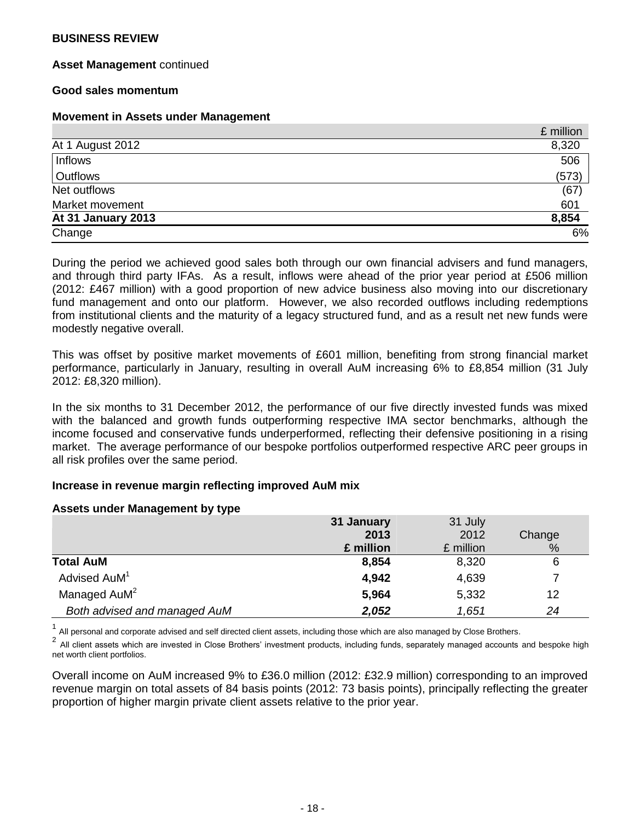### **Asset Management** continued

#### **Good sales momentum**

#### **Movement in Assets under Management**

|                    | £ million |
|--------------------|-----------|
| At 1 August 2012   | 8,320     |
| Inflows            | 506       |
| <b>Outflows</b>    | (573)     |
| Net outflows       | (67)      |
| Market movement    | 601       |
| At 31 January 2013 | 8,854     |
| Change             | 6%        |

During the period we achieved good sales both through our own financial advisers and fund managers, and through third party IFAs. As a result, inflows were ahead of the prior year period at £506 million (2012: £467 million) with a good proportion of new advice business also moving into our discretionary fund management and onto our platform. However, we also recorded outflows including redemptions from institutional clients and the maturity of a legacy structured fund, and as a result net new funds were modestly negative overall.

This was offset by positive market movements of £601 million, benefiting from strong financial market performance, particularly in January, resulting in overall AuM increasing 6% to £8,854 million (31 July 2012: £8,320 million).

In the six months to 31 December 2012, the performance of our five directly invested funds was mixed with the balanced and growth funds outperforming respective IMA sector benchmarks, although the income focused and conservative funds underperformed, reflecting their defensive positioning in a rising market. The average performance of our bespoke portfolios outperformed respective ARC peer groups in all risk profiles over the same period.

#### **Increase in revenue margin reflecting improved AuM mix**

#### **Assets under Management by type**

|                              | 31 January | 31 July   |        |
|------------------------------|------------|-----------|--------|
|                              | 2013       | 2012      | Change |
|                              | £ million  | £ million | %      |
| <b>Total AuM</b>             | 8,854      | 8,320     | 6      |
| Advised AuM <sup>1</sup>     | 4,942      | 4,639     |        |
| Managed AuM <sup>2</sup>     | 5,964      | 5,332     | 12     |
| Both advised and managed AuM | 2,052      | 1,651     | 24     |

 $1$  All personal and corporate advised and self directed client assets, including those which are also managed by Close Brothers.

2 All client assets which are invested in Close Brothers' investment products, including funds, separately managed accounts and bespoke high net worth client portfolios.

Overall income on AuM increased 9% to £36.0 million (2012: £32.9 million) corresponding to an improved revenue margin on total assets of 84 basis points (2012: 73 basis points), principally reflecting the greater proportion of higher margin private client assets relative to the prior year.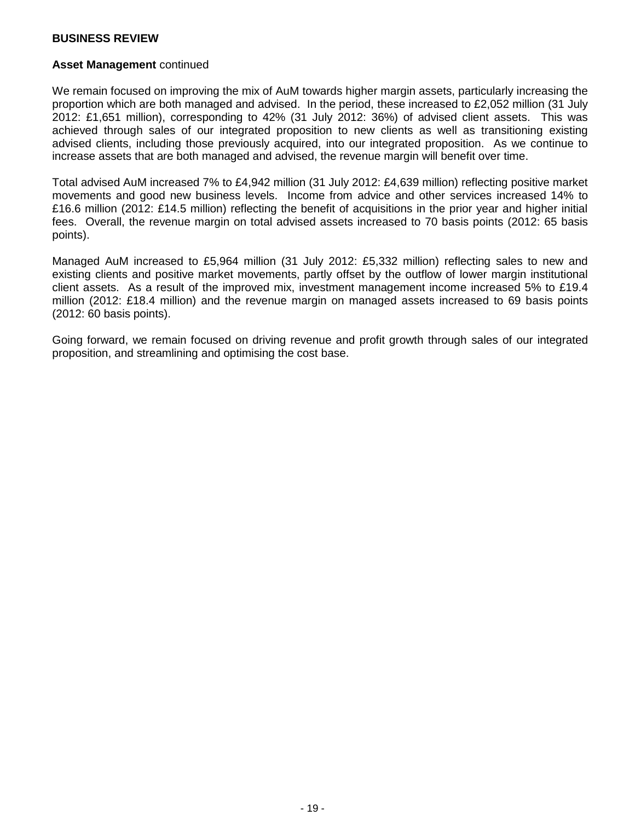#### **Asset Management** continued

We remain focused on improving the mix of AuM towards higher margin assets, particularly increasing the proportion which are both managed and advised. In the period, these increased to £2,052 million (31 July 2012: £1,651 million), corresponding to 42% (31 July 2012: 36%) of advised client assets. This was achieved through sales of our integrated proposition to new clients as well as transitioning existing advised clients, including those previously acquired, into our integrated proposition. As we continue to increase assets that are both managed and advised, the revenue margin will benefit over time.

Total advised AuM increased 7% to £4,942 million (31 July 2012: £4,639 million) reflecting positive market movements and good new business levels. Income from advice and other services increased 14% to £16.6 million (2012: £14.5 million) reflecting the benefit of acquisitions in the prior year and higher initial fees. Overall, the revenue margin on total advised assets increased to 70 basis points (2012: 65 basis points).

Managed AuM increased to £5,964 million (31 July 2012: £5,332 million) reflecting sales to new and existing clients and positive market movements, partly offset by the outflow of lower margin institutional client assets. As a result of the improved mix, investment management income increased 5% to £19.4 million (2012: £18.4 million) and the revenue margin on managed assets increased to 69 basis points (2012: 60 basis points).

Going forward, we remain focused on driving revenue and profit growth through sales of our integrated proposition, and streamlining and optimising the cost base.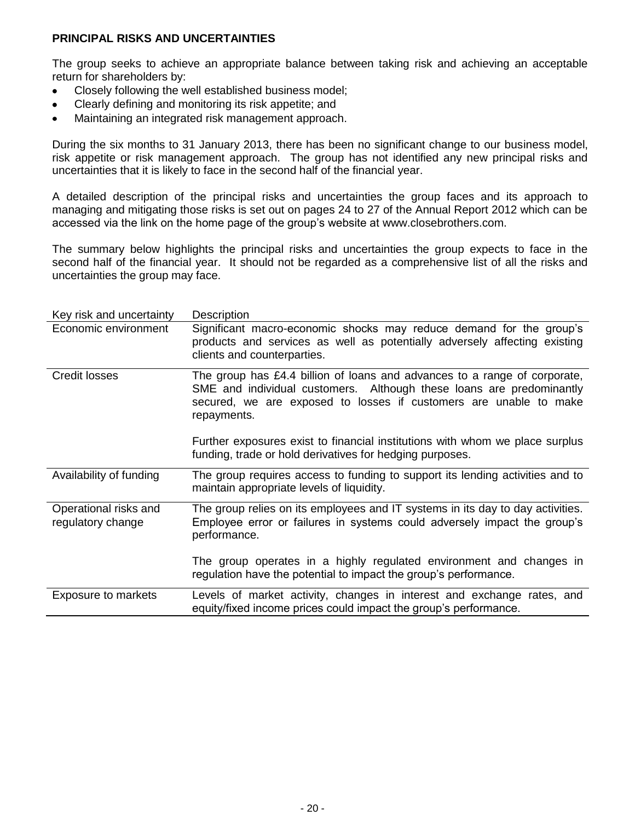## **PRINCIPAL RISKS AND UNCERTAINTIES**

The group seeks to achieve an appropriate balance between taking risk and achieving an acceptable return for shareholders by:

- Closely following the well established business model;  $\bullet$
- Clearly defining and monitoring its risk appetite; and  $\bullet$
- Maintaining an integrated risk management approach.  $\bullet$

During the six months to 31 January 2013, there has been no significant change to our business model, risk appetite or risk management approach. The group has not identified any new principal risks and uncertainties that it is likely to face in the second half of the financial year.

A detailed description of the principal risks and uncertainties the group faces and its approach to managing and mitigating those risks is set out on pages 24 to 27 of the Annual Report 2012 which can be accessed via the link on the home page of the group's website at www.closebrothers.com.

The summary below highlights the principal risks and uncertainties the group expects to face in the second half of the financial year. It should not be regarded as a comprehensive list of all the risks and uncertainties the group may face.

| Key risk and uncertainty                   | Description                                                                                                                                                                                                                                                                                                                                                                       |
|--------------------------------------------|-----------------------------------------------------------------------------------------------------------------------------------------------------------------------------------------------------------------------------------------------------------------------------------------------------------------------------------------------------------------------------------|
| Economic environment                       | Significant macro-economic shocks may reduce demand for the group's<br>products and services as well as potentially adversely affecting existing<br>clients and counterparties.                                                                                                                                                                                                   |
| <b>Credit losses</b>                       | The group has £4.4 billion of loans and advances to a range of corporate,<br>SME and individual customers. Although these loans are predominantly<br>secured, we are exposed to losses if customers are unable to make<br>repayments.<br>Further exposures exist to financial institutions with whom we place surplus<br>funding, trade or hold derivatives for hedging purposes. |
|                                            |                                                                                                                                                                                                                                                                                                                                                                                   |
| Availability of funding                    | The group requires access to funding to support its lending activities and to<br>maintain appropriate levels of liquidity.                                                                                                                                                                                                                                                        |
| Operational risks and<br>regulatory change | The group relies on its employees and IT systems in its day to day activities.<br>Employee error or failures in systems could adversely impact the group's<br>performance.                                                                                                                                                                                                        |
|                                            | The group operates in a highly regulated environment and changes in<br>regulation have the potential to impact the group's performance.                                                                                                                                                                                                                                           |
| Exposure to markets                        | Levels of market activity, changes in interest and exchange rates, and<br>equity/fixed income prices could impact the group's performance.                                                                                                                                                                                                                                        |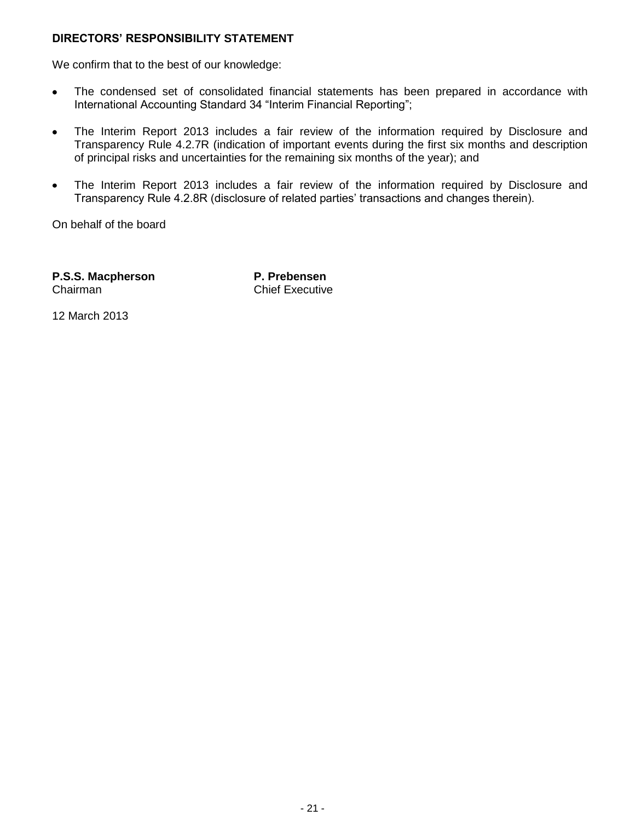## **DIRECTORS' RESPONSIBILITY STATEMENT**

We confirm that to the best of our knowledge:

- The condensed set of consolidated financial statements has been prepared in accordance with  $\bullet$ International Accounting Standard 34 "Interim Financial Reporting";
- The Interim Report 2013 includes a fair review of the information required by Disclosure and  $\bullet$ Transparency Rule 4.2.7R (indication of important events during the first six months and description of principal risks and uncertainties for the remaining six months of the year); and
- The Interim Report 2013 includes a fair review of the information required by Disclosure and  $\bullet$ Transparency Rule 4.2.8R (disclosure of related parties' transactions and changes therein).

On behalf of the board

**P.S.S. Macpherson** Chairman

**P. Prebensen** Chief Executive

12 March 2013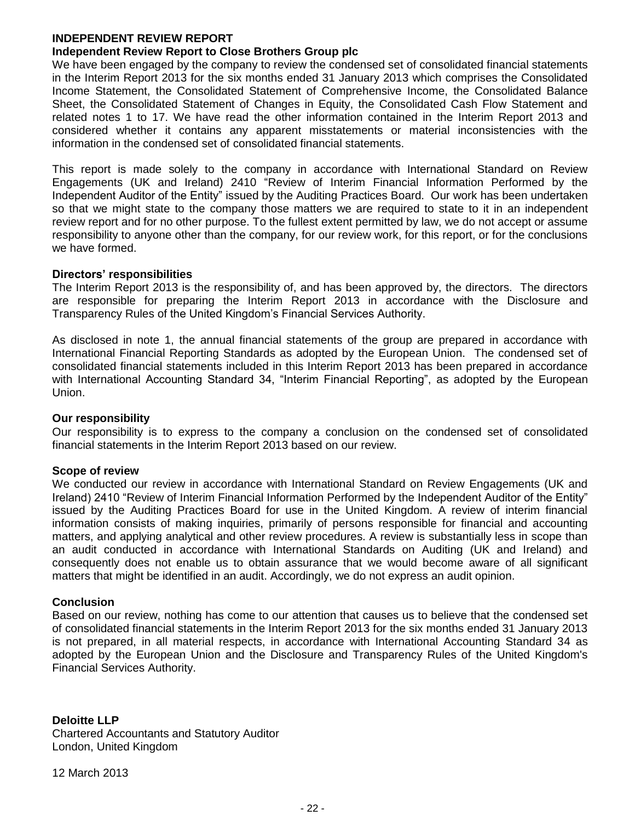## **INDEPENDENT REVIEW REPORT**

#### **Independent Review Report to Close Brothers Group plc**

We have been engaged by the company to review the condensed set of consolidated financial statements in the Interim Report 2013 for the six months ended 31 January 2013 which comprises the Consolidated Income Statement, the Consolidated Statement of Comprehensive Income, the Consolidated Balance Sheet, the Consolidated Statement of Changes in Equity, the Consolidated Cash Flow Statement and related notes 1 to 17. We have read the other information contained in the Interim Report 2013 and considered whether it contains any apparent misstatements or material inconsistencies with the information in the condensed set of consolidated financial statements.

This report is made solely to the company in accordance with International Standard on Review Engagements (UK and Ireland) 2410 "Review of Interim Financial Information Performed by the Independent Auditor of the Entity" issued by the Auditing Practices Board. Our work has been undertaken so that we might state to the company those matters we are required to state to it in an independent review report and for no other purpose. To the fullest extent permitted by law, we do not accept or assume responsibility to anyone other than the company, for our review work, for this report, or for the conclusions we have formed.

#### **Directors' responsibilities**

The Interim Report 2013 is the responsibility of, and has been approved by, the directors. The directors are responsible for preparing the Interim Report 2013 in accordance with the Disclosure and Transparency Rules of the United Kingdom's Financial Services Authority.

As disclosed in note 1, the annual financial statements of the group are prepared in accordance with International Financial Reporting Standards as adopted by the European Union. The condensed set of consolidated financial statements included in this Interim Report 2013 has been prepared in accordance with International Accounting Standard 34, "Interim Financial Reporting", as adopted by the European Union.

#### **Our responsibility**

Our responsibility is to express to the company a conclusion on the condensed set of consolidated financial statements in the Interim Report 2013 based on our review.

#### **Scope of review**

We conducted our review in accordance with International Standard on Review Engagements (UK and Ireland) 2410 "Review of Interim Financial Information Performed by the Independent Auditor of the Entity" issued by the Auditing Practices Board for use in the United Kingdom. A review of interim financial information consists of making inquiries, primarily of persons responsible for financial and accounting matters, and applying analytical and other review procedures. A review is substantially less in scope than an audit conducted in accordance with International Standards on Auditing (UK and Ireland) and consequently does not enable us to obtain assurance that we would become aware of all significant matters that might be identified in an audit. Accordingly, we do not express an audit opinion.

#### **Conclusion**

Based on our review, nothing has come to our attention that causes us to believe that the condensed set of consolidated financial statements in the Interim Report 2013 for the six months ended 31 January 2013 is not prepared, in all material respects, in accordance with International Accounting Standard 34 as adopted by the European Union and the Disclosure and Transparency Rules of the United Kingdom's Financial Services Authority.

#### **Deloitte LLP**

Chartered Accountants and Statutory Auditor London, United Kingdom

12 March 2013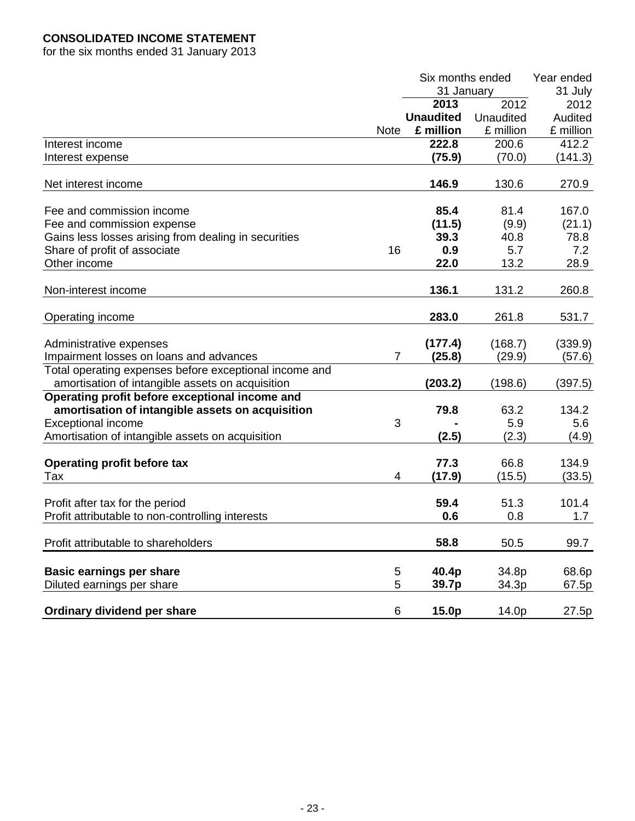## **CONSOLIDATED INCOME STATEMENT**

for the six months ended 31 January 2013

|                                                        |                | Year ended       |           |           |
|--------------------------------------------------------|----------------|------------------|-----------|-----------|
|                                                        |                | 31 January       |           | 31 July   |
|                                                        |                | 2013             | 2012      | 2012      |
|                                                        |                | <b>Unaudited</b> | Unaudited | Audited   |
|                                                        | <b>Note</b>    | £ million        | £ million | £ million |
| Interest income                                        |                | 222.8            | 200.6     | 412.2     |
| Interest expense                                       |                | (75.9)           | (70.0)    | (141.3)   |
| Net interest income                                    |                | 146.9            | 130.6     | 270.9     |
| Fee and commission income                              |                | 85.4             | 81.4      | 167.0     |
| Fee and commission expense                             |                | (11.5)           | (9.9)     | (21.1)    |
| Gains less losses arising from dealing in securities   |                | 39.3             | 40.8      | 78.8      |
| Share of profit of associate                           | 16             | 0.9              | 5.7       | 7.2       |
| Other income                                           |                | 22.0             | 13.2      | 28.9      |
| Non-interest income                                    |                | 136.1            | 131.2     | 260.8     |
| Operating income                                       |                | 283.0            | 261.8     | 531.7     |
|                                                        |                |                  |           |           |
| Administrative expenses                                |                | (177.4)          | (168.7)   | (339.9)   |
| Impairment losses on loans and advances                | $\overline{7}$ | (25.8)           | (29.9)    | (57.6)    |
| Total operating expenses before exceptional income and |                |                  |           |           |
| amortisation of intangible assets on acquisition       |                | (203.2)          | (198.6)   | (397.5)   |
| Operating profit before exceptional income and         |                |                  |           |           |
| amortisation of intangible assets on acquisition       |                | 79.8             | 63.2      | 134.2     |
| <b>Exceptional income</b>                              | 3              |                  | 5.9       | 5.6       |
| Amortisation of intangible assets on acquisition       |                | (2.5)            | (2.3)     | (4.9)     |
| <b>Operating profit before tax</b>                     |                | 77.3             | 66.8      | 134.9     |
| Tax                                                    | 4              | (17.9)           | (15.5)    | (33.5)    |
| Profit after tax for the period                        |                | 59.4             | 51.3      | 101.4     |
| Profit attributable to non-controlling interests       |                | 0.6              | 0.8       | 1.7       |
|                                                        |                |                  |           |           |
| Profit attributable to shareholders                    |                | 58.8             | 50.5      | 99.7      |
| <b>Basic earnings per share</b>                        | $\mathbf 5$    | 40.4p            | 34.8p     | 68.6p     |
| Diluted earnings per share                             | 5              | 39.7p            | 34.3p     | 67.5p     |
| Ordinary dividend per share                            | 6              | 15.0p            | 14.0p     | 27.5p     |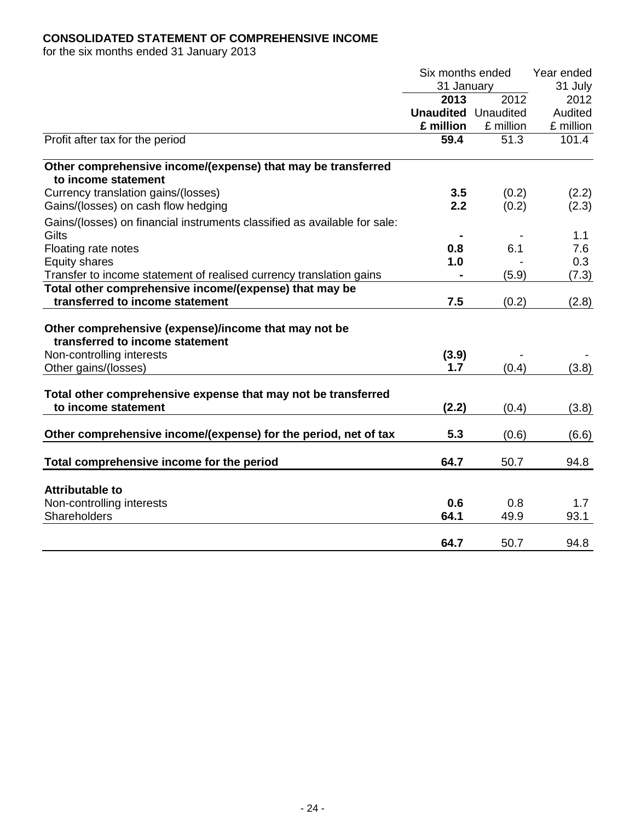## **CONSOLIDATED STATEMENT OF COMPREHENSIVE INCOME**

for the six months ended 31 January 2013

|                                                                                         | Six months ended           |           | Year ended |  |
|-----------------------------------------------------------------------------------------|----------------------------|-----------|------------|--|
|                                                                                         | 31 January                 |           | 31 July    |  |
|                                                                                         | 2013                       | 2012      | 2012       |  |
|                                                                                         | <b>Unaudited</b> Unaudited |           | Audited    |  |
|                                                                                         | £ million                  | £ million | £ million  |  |
| Profit after tax for the period                                                         | 59.4                       | 51.3      | 101.4      |  |
| Other comprehensive income/(expense) that may be transferred<br>to income statement     |                            |           |            |  |
| Currency translation gains/(losses)                                                     | 3.5                        | (0.2)     | (2.2)      |  |
| Gains/(losses) on cash flow hedging                                                     | 2.2                        | (0.2)     | (2.3)      |  |
| Gains/(losses) on financial instruments classified as available for sale:               |                            |           |            |  |
| Gilts                                                                                   |                            |           | 1.1        |  |
| Floating rate notes                                                                     | 0.8                        | 6.1       | 7.6        |  |
| <b>Equity shares</b>                                                                    | 1.0                        |           | 0.3        |  |
| Transfer to income statement of realised currency translation gains                     |                            | (5.9)     | (7.3)      |  |
| Total other comprehensive income/(expense) that may be                                  |                            |           |            |  |
| transferred to income statement                                                         | 7.5                        | (0.2)     | (2.8)      |  |
| Other comprehensive (expense)/income that may not be<br>transferred to income statement |                            |           |            |  |
| Non-controlling interests                                                               | (3.9)                      |           |            |  |
| Other gains/(losses)                                                                    | 1.7                        | (0.4)     | (3.8)      |  |
| Total other comprehensive expense that may not be transferred<br>to income statement    |                            |           |            |  |
|                                                                                         | (2.2)                      | (0.4)     | (3.8)      |  |
| Other comprehensive income/(expense) for the period, net of tax                         | 5.3                        | (0.6)     | (6.6)      |  |
| Total comprehensive income for the period                                               | 64.7                       | 50.7      | 94.8       |  |
| <b>Attributable to</b>                                                                  |                            |           |            |  |
| Non-controlling interests                                                               | 0.6                        | 0.8       | 1.7        |  |
| Shareholders                                                                            | 64.1                       | 49.9      | 93.1       |  |
|                                                                                         |                            |           |            |  |
|                                                                                         | 64.7                       | 50.7      | 94.8       |  |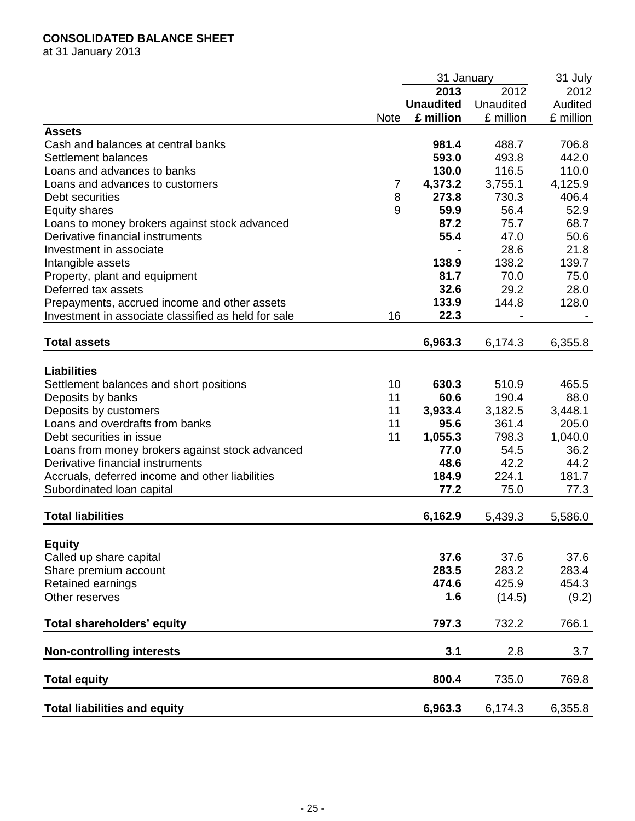## **CONSOLIDATED BALANCE SHEET**

at 31 January 2013

|                                                     |             | 31 January       |           | 31 July   |
|-----------------------------------------------------|-------------|------------------|-----------|-----------|
|                                                     |             | 2013             | 2012      | 2012      |
|                                                     |             | <b>Unaudited</b> | Unaudited | Audited   |
|                                                     | <b>Note</b> | £ million        | £ million | £ million |
| <b>Assets</b>                                       |             |                  |           |           |
| Cash and balances at central banks                  |             | 981.4            | 488.7     | 706.8     |
| Settlement balances                                 |             | 593.0            | 493.8     | 442.0     |
| Loans and advances to banks                         |             | 130.0            | 116.5     | 110.0     |
| Loans and advances to customers                     | 7           | 4,373.2          | 3,755.1   | 4,125.9   |
| Debt securities                                     | 8           | 273.8            | 730.3     | 406.4     |
| <b>Equity shares</b>                                | 9           | 59.9             | 56.4      | 52.9      |
| Loans to money brokers against stock advanced       |             | 87.2             | 75.7      | 68.7      |
| Derivative financial instruments                    |             | 55.4             | 47.0      | 50.6      |
| Investment in associate                             |             |                  | 28.6      | 21.8      |
| Intangible assets                                   |             | 138.9            | 138.2     | 139.7     |
| Property, plant and equipment                       |             | 81.7             | 70.0      | 75.0      |
| Deferred tax assets                                 |             | 32.6             | 29.2      | 28.0      |
| Prepayments, accrued income and other assets        |             | 133.9            | 144.8     | 128.0     |
| Investment in associate classified as held for sale | 16          | 22.3             |           |           |
|                                                     |             |                  |           |           |
| <b>Total assets</b>                                 |             | 6,963.3          | 6,174.3   | 6,355.8   |
|                                                     |             |                  |           |           |
| <b>Liabilities</b>                                  |             |                  |           |           |
| Settlement balances and short positions             | 10          | 630.3            | 510.9     | 465.5     |
| Deposits by banks                                   | 11          | 60.6             | 190.4     | 88.0      |
| Deposits by customers                               | 11          | 3,933.4          | 3,182.5   | 3,448.1   |
| Loans and overdrafts from banks                     | 11          | 95.6             | 361.4     | 205.0     |
| Debt securities in issue                            | 11          | 1,055.3          | 798.3     | 1,040.0   |
| Loans from money brokers against stock advanced     |             | 77.0             | 54.5      | 36.2      |
| Derivative financial instruments                    |             | 48.6             | 42.2      | 44.2      |
| Accruals, deferred income and other liabilities     |             | 184.9            | 224.1     | 181.7     |
| Subordinated loan capital                           |             | 77.2             | 75.0      | 77.3      |
|                                                     |             |                  |           |           |
| <b>Total liabilities</b>                            |             | 6,162.9          | 5,439.3   | 5,586.0   |
|                                                     |             |                  |           |           |
| <b>Equity</b>                                       |             |                  |           |           |
| Called up share capital                             |             | 37.6             | 37.6      | 37.6      |
| Share premium account                               |             | 283.5            | 283.2     | 283.4     |
| Retained earnings                                   |             | 474.6            | 425.9     | 454.3     |
| Other reserves                                      |             | 1.6              | (14.5)    | (9.2)     |
|                                                     |             |                  |           |           |
| Total shareholders' equity                          |             | 797.3            | 732.2     | 766.1     |
| <b>Non-controlling interests</b>                    |             | 3.1              |           |           |
|                                                     |             |                  | 2.8       | 3.7       |
| <b>Total equity</b>                                 |             | 800.4            | 735.0     | 769.8     |
|                                                     |             |                  |           |           |
| <b>Total liabilities and equity</b>                 |             | 6,963.3          | 6,174.3   | 6,355.8   |
|                                                     |             |                  |           |           |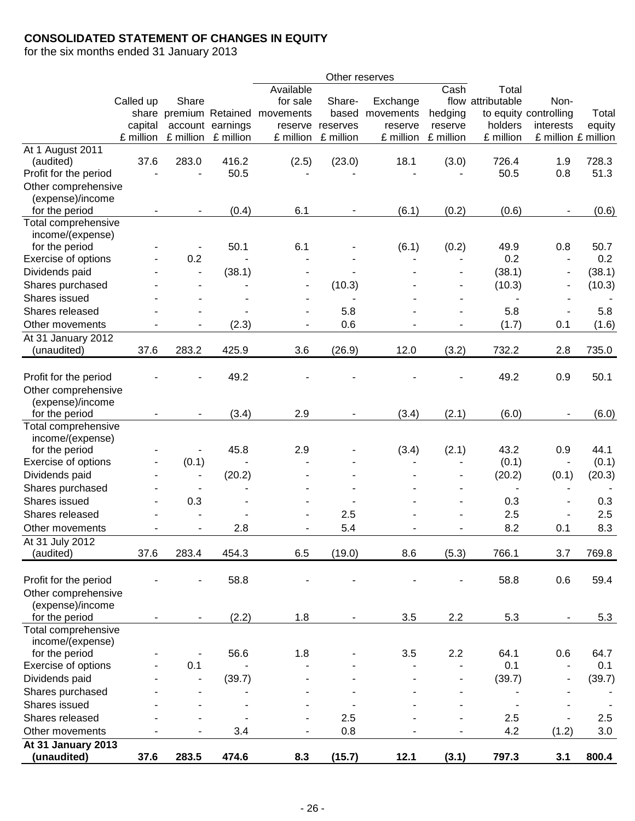## **CONSOLIDATED STATEMENT OF CHANGES IN EQUITY**

for the six months ended 31 January 2013

|                                         |                |                          |                        |           | Other reserves |           |                          |                          |                          |        |
|-----------------------------------------|----------------|--------------------------|------------------------|-----------|----------------|-----------|--------------------------|--------------------------|--------------------------|--------|
|                                         |                |                          |                        | Available |                |           | Cash                     | Total                    |                          |        |
|                                         | Called up      | Share                    |                        | for sale  | Share-         | Exchange  |                          | flow attributable        | Non-                     |        |
|                                         |                |                          | share premium Retained | movements | based          | movements | hedging                  |                          | to equity controlling    | Total  |
|                                         | capital        |                          | account earnings       | reserve   | reserves       | reserve   | reserve                  | holders                  | interests                | equity |
|                                         | £ million      | £ million                | £ million              | £ million | £ million      | £ million | £ million                | £ million                | £ million £ million      |        |
| At 1 August 2011                        |                |                          |                        |           |                |           |                          |                          |                          |        |
| (audited)                               | 37.6           | 283.0                    | 416.2                  | (2.5)     | (23.0)         | 18.1      | (3.0)                    | 726.4                    | 1.9                      | 728.3  |
| Profit for the period                   |                |                          | 50.5                   |           |                |           |                          | 50.5                     | 0.8                      | 51.3   |
| Other comprehensive                     |                |                          |                        |           |                |           |                          |                          |                          |        |
| (expense)/income                        |                |                          |                        |           |                |           |                          |                          |                          |        |
| for the period                          |                |                          | (0.4)                  | 6.1       |                | (6.1)     | (0.2)                    | (0.6)                    |                          | (0.6)  |
| Total comprehensive<br>income/(expense) |                |                          |                        |           |                |           |                          |                          |                          |        |
| for the period                          |                |                          | 50.1                   | 6.1       |                | (6.1)     | (0.2)                    | 49.9                     | 0.8                      | 50.7   |
| Exercise of options                     |                | 0.2                      |                        |           |                |           |                          | 0.2                      |                          | 0.2    |
| Dividends paid                          |                | ÷                        | (38.1)                 |           |                |           |                          | (38.1)                   | $\overline{\phantom{a}}$ | (38.1) |
| Shares purchased                        |                |                          |                        |           | (10.3)         |           |                          | (10.3)                   | $\overline{\phantom{a}}$ | (10.3) |
| Shares issued                           |                |                          |                        |           |                |           | $\sim$                   | $\overline{\phantom{a}}$ |                          |        |
| Shares released                         |                |                          |                        |           | 5.8            |           |                          | 5.8                      |                          | 5.8    |
| Other movements                         |                |                          | (2.3)                  |           | 0.6            |           | $\overline{\phantom{a}}$ | (1.7)                    | 0.1                      | (1.6)  |
|                                         |                |                          |                        |           |                |           |                          |                          |                          |        |
| At 31 January 2012<br>(unaudited)       | 37.6           | 283.2                    | 425.9                  | 3.6       | (26.9)         | 12.0      | (3.2)                    | 732.2                    | 2.8                      | 735.0  |
|                                         |                |                          |                        |           |                |           |                          |                          |                          |        |
| Profit for the period                   |                |                          | 49.2                   |           |                |           |                          | 49.2                     | 0.9                      | 50.1   |
| Other comprehensive                     |                |                          |                        |           |                |           |                          |                          |                          |        |
| (expense)/income                        |                |                          |                        |           |                |           |                          |                          |                          |        |
| for the period                          |                |                          | (3.4)                  | 2.9       |                | (3.4)     | (2.1)                    | (6.0)                    |                          | (6.0)  |
| Total comprehensive                     |                |                          |                        |           |                |           |                          |                          |                          |        |
| income/(expense)                        |                |                          |                        |           |                |           |                          |                          |                          |        |
| for the period                          |                | $\blacksquare$           | 45.8                   | 2.9       |                | (3.4)     | (2.1)                    | 43.2                     | 0.9                      | 44.1   |
| Exercise of options                     |                | (0.1)                    | $\blacksquare$         |           |                |           | $\overline{\phantom{a}}$ | (0.1)                    | $\overline{\phantom{a}}$ | (0.1)  |
| Dividends paid                          |                | $\blacksquare$           | (20.2)                 |           |                |           |                          | (20.2)                   | (0.1)                    | (20.3) |
| Shares purchased                        |                |                          |                        |           |                |           |                          |                          |                          |        |
| Shares issued                           |                | 0.3                      |                        |           |                |           |                          | 0.3                      |                          | 0.3    |
| Shares released                         |                |                          |                        |           | 2.5            |           |                          | 2.5                      |                          | 2.5    |
| Other movements                         |                |                          | 2.8                    |           | 5.4            |           |                          | 8.2                      | 0.1                      | 8.3    |
| At 31 July 2012                         |                |                          |                        |           |                |           |                          |                          |                          |        |
| (audited)                               | 37.6           | 283.4                    | 454.3                  | 6.5       | (19.0)         | 8.6       | (5.3)                    | 766.1                    | 3.7                      | 769.8  |
|                                         |                |                          |                        |           |                |           |                          |                          |                          |        |
| Profit for the period                   |                |                          | 58.8                   |           |                |           |                          | 58.8                     | 0.6                      | 59.4   |
| Other comprehensive                     |                |                          |                        |           |                |           |                          |                          |                          |        |
| (expense)/income                        |                |                          |                        |           |                |           |                          |                          |                          |        |
| for the period                          | $\blacksquare$ | $\overline{\phantom{a}}$ | (2.2)                  | 1.8       |                | 3.5       | 2.2                      | 5.3                      |                          | 5.3    |
| Total comprehensive                     |                |                          |                        |           |                |           |                          |                          |                          |        |
| income/(expense)                        |                |                          |                        |           |                |           |                          |                          |                          |        |
| for the period                          |                |                          | 56.6                   | 1.8       |                | 3.5       | 2.2                      | 64.1                     | 0.6                      | 64.7   |
| Exercise of options                     |                | 0.1                      |                        |           |                |           |                          | 0.1                      |                          | 0.1    |
| Dividends paid                          |                |                          | (39.7)                 |           |                |           |                          | (39.7)                   |                          | (39.7) |
| Shares purchased                        |                |                          |                        |           |                |           |                          | $\overline{\phantom{a}}$ |                          |        |
| Shares issued                           |                |                          |                        |           |                |           |                          | $\blacksquare$           |                          |        |
| Shares released                         |                |                          |                        |           | 2.5            |           |                          | 2.5                      |                          | 2.5    |
| Other movements                         |                |                          | 3.4                    |           | 0.8            |           |                          | 4.2                      | (1.2)                    | 3.0    |
| At 31 January 2013                      |                |                          |                        |           |                |           |                          |                          |                          |        |
| (unaudited)                             | 37.6           | 283.5                    | 474.6                  | 8.3       | (15.7)         | 12.1      | (3.1)                    | 797.3                    | 3.1                      | 800.4  |
|                                         |                |                          |                        |           |                |           |                          |                          |                          |        |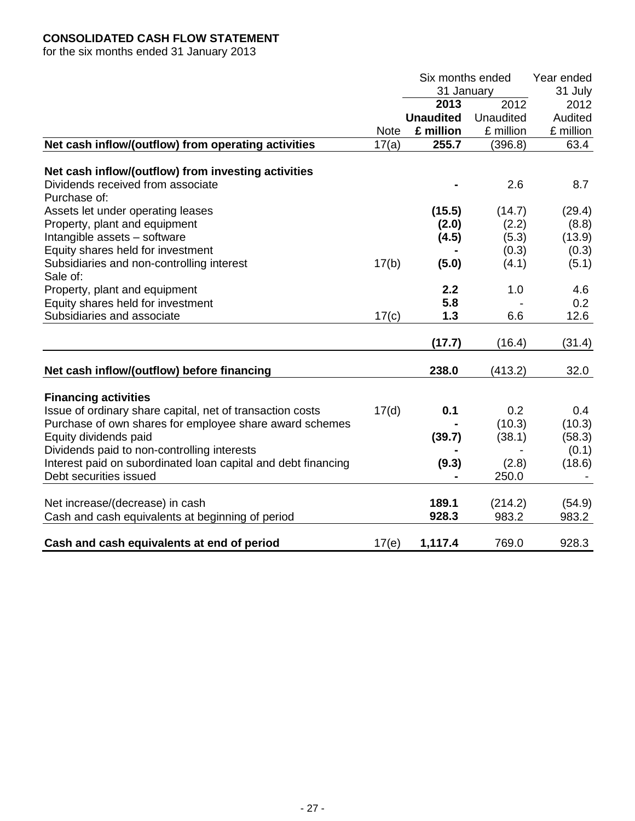## **CONSOLIDATED CASH FLOW STATEMENT**

for the six months ended 31 January 2013

|                                                               |             | Six months ended |           |           |
|---------------------------------------------------------------|-------------|------------------|-----------|-----------|
|                                                               |             | 31 January       |           | 31 July   |
|                                                               |             | 2013             | 2012      | 2012      |
|                                                               |             | <b>Unaudited</b> | Unaudited | Audited   |
|                                                               | <b>Note</b> | £ million        | £ million | £ million |
| Net cash inflow/(outflow) from operating activities           | 17(a)       | 255.7            | (396.8)   | 63.4      |
| Net cash inflow/(outflow) from investing activities           |             |                  |           |           |
| Dividends received from associate                             |             |                  | 2.6       | 8.7       |
| Purchase of:                                                  |             |                  |           |           |
| Assets let under operating leases                             |             | (15.5)           | (14.7)    | (29.4)    |
| Property, plant and equipment                                 |             | (2.0)            | (2.2)     | (8.8)     |
| Intangible assets - software                                  |             | (4.5)            | (5.3)     | (13.9)    |
| Equity shares held for investment                             |             |                  | (0.3)     | (0.3)     |
| Subsidiaries and non-controlling interest                     | 17(b)       | (5.0)            | (4.1)     | (5.1)     |
| Sale of:                                                      |             |                  |           |           |
| Property, plant and equipment                                 |             | 2.2              | 1.0       | 4.6       |
| Equity shares held for investment                             |             | 5.8              |           | 0.2       |
| Subsidiaries and associate                                    | 17(c)       | 1.3              | 6.6       | 12.6      |
|                                                               |             | (17.7)           | (16.4)    | (31.4)    |
|                                                               |             |                  |           |           |
| Net cash inflow/(outflow) before financing                    |             | 238.0            | (413.2)   | 32.0      |
| <b>Financing activities</b>                                   |             |                  |           |           |
| Issue of ordinary share capital, net of transaction costs     | 17(d)       | 0.1              | 0.2       | 0.4       |
| Purchase of own shares for employee share award schemes       |             |                  | (10.3)    | (10.3)    |
| Equity dividends paid                                         |             | (39.7)           | (38.1)    | (58.3)    |
| Dividends paid to non-controlling interests                   |             |                  |           | (0.1)     |
| Interest paid on subordinated loan capital and debt financing |             | (9.3)            | (2.8)     | (18.6)    |
| Debt securities issued                                        |             |                  | 250.0     |           |
| Net increase/(decrease) in cash                               |             | 189.1            | (214.2)   | (54.9)    |
| Cash and cash equivalents at beginning of period              |             | 928.3            | 983.2     | 983.2     |
| Cash and cash equivalents at end of period                    | 17(e)       | 1,117.4          | 769.0     | 928.3     |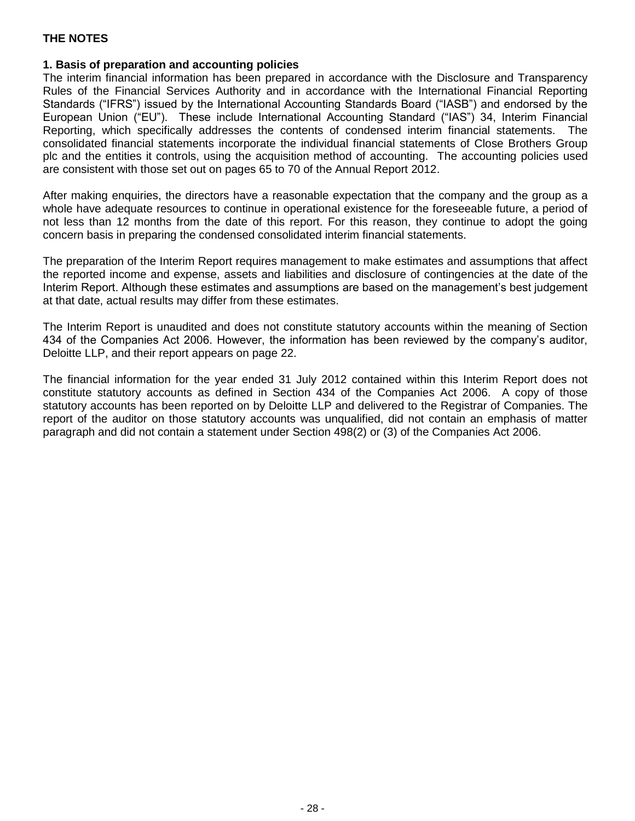## **1. Basis of preparation and accounting policies**

The interim financial information has been prepared in accordance with the Disclosure and Transparency Rules of the Financial Services Authority and in accordance with the International Financial Reporting Standards ("IFRS") issued by the International Accounting Standards Board ("IASB") and endorsed by the European Union ("EU"). These include International Accounting Standard ("IAS") 34, Interim Financial Reporting, which specifically addresses the contents of condensed interim financial statements. The consolidated financial statements incorporate the individual financial statements of Close Brothers Group plc and the entities it controls, using the acquisition method of accounting. The accounting policies used are consistent with those set out on pages 65 to 70 of the Annual Report 2012.

After making enquiries, the directors have a reasonable expectation that the company and the group as a whole have adequate resources to continue in operational existence for the foreseeable future, a period of not less than 12 months from the date of this report. For this reason, they continue to adopt the going concern basis in preparing the condensed consolidated interim financial statements.

The preparation of the Interim Report requires management to make estimates and assumptions that affect the reported income and expense, assets and liabilities and disclosure of contingencies at the date of the Interim Report. Although these estimates and assumptions are based on the management's best judgement at that date, actual results may differ from these estimates.

The Interim Report is unaudited and does not constitute statutory accounts within the meaning of Section 434 of the Companies Act 2006. However, the information has been reviewed by the company's auditor, Deloitte LLP, and their report appears on page 22.

The financial information for the year ended 31 July 2012 contained within this Interim Report does not constitute statutory accounts as defined in Section 434 of the Companies Act 2006. A copy of those statutory accounts has been reported on by Deloitte LLP and delivered to the Registrar of Companies. The report of the auditor on those statutory accounts was unqualified, did not contain an emphasis of matter paragraph and did not contain a statement under Section 498(2) or (3) of the Companies Act 2006.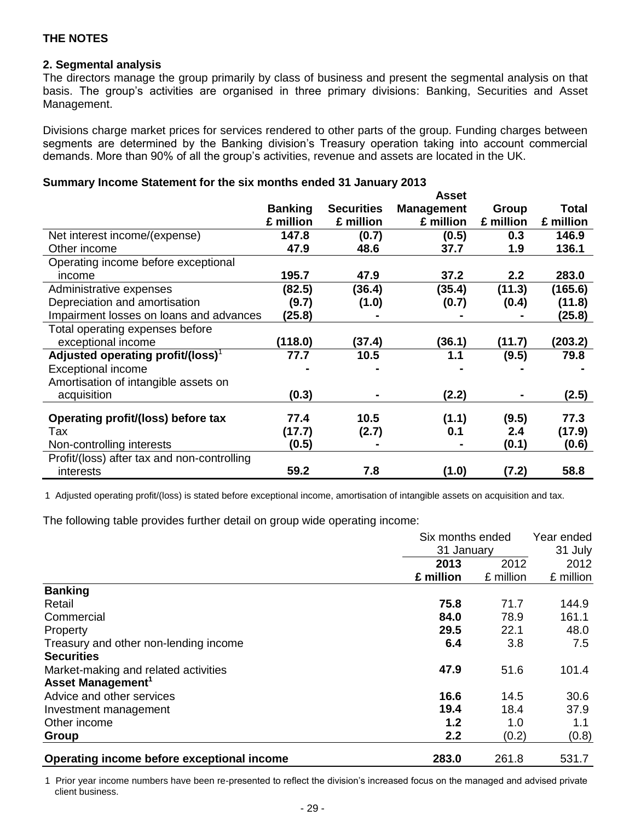## **2. Segmental analysis**

The directors manage the group primarily by class of business and present the segmental analysis on that basis. The group's activities are organised in three primary divisions: Banking, Securities and Asset Management.

Divisions charge market prices for services rendered to other parts of the group. Funding charges between segments are determined by the Banking division's Treasury operation taking into account commercial demands. More than 90% of all the group's activities, revenue and assets are located in the UK.

|                                               |                |                   | <b>Asset</b>      |           |              |
|-----------------------------------------------|----------------|-------------------|-------------------|-----------|--------------|
|                                               | <b>Banking</b> | <b>Securities</b> | <b>Management</b> | Group     | <b>Total</b> |
|                                               | £ million      | £ million         | £ million         | £ million | £ million    |
| Net interest income/(expense)                 | 147.8          | (0.7)             | (0.5)             | 0.3       | 146.9        |
| Other income                                  | 47.9           | 48.6              | 37.7              | 1.9       | 136.1        |
| Operating income before exceptional           |                |                   |                   |           |              |
| income                                        | 195.7          | 47.9              | 37.2              | 2.2       | 283.0        |
| Administrative expenses                       | (82.5)         | (36.4)            | (35.4)            | (11.3)    | (165.6)      |
| Depreciation and amortisation                 | (9.7)          | (1.0)             | (0.7)             | (0.4)     | (11.8)       |
| Impairment losses on loans and advances       | (25.8)         |                   |                   |           | (25.8)       |
| Total operating expenses before               |                |                   |                   |           |              |
| exceptional income                            | (118.0)        | (37.4)            | (36.1)            | (11.7)    | (203.2)      |
| Adjusted operating profit/(loss) <sup>1</sup> | 77.7           | 10.5              | 1.1               | (9.5)     | 79.8         |
| <b>Exceptional income</b>                     |                |                   |                   |           |              |
| Amortisation of intangible assets on          |                |                   |                   |           |              |
| acquisition                                   | (0.3)          |                   | (2.2)             |           | (2.5)        |
|                                               |                |                   |                   |           |              |
| Operating profit/(loss) before tax            | 77.4           | 10.5              | (1.1)             | (9.5)     | 77.3         |
| Tax                                           | (17.7)         | (2.7)             | 0.1               | 2.4       | (17.9)       |
| Non-controlling interests                     | (0.5)          |                   |                   | (0.1)     | (0.6)        |
| Profit/(loss) after tax and non-controlling   |                |                   |                   |           |              |
| interests                                     | 59.2           | 7.8               | (1.0)             | (7.2)     | 58.8         |

## **Summary Income Statement for the six months ended 31 January 2013**

1 Adjusted operating profit/(loss) is stated before exceptional income, amortisation of intangible assets on acquisition and tax.

The following table provides further detail on group wide operating income:

|                                            | Six months ended |           | Year ended |  |
|--------------------------------------------|------------------|-----------|------------|--|
|                                            | 31 January       |           | 31 July    |  |
|                                            | 2013             | 2012      | 2012       |  |
|                                            | £ million        | £ million | £ million  |  |
| <b>Banking</b>                             |                  |           |            |  |
| Retail                                     | 75.8             | 71.7      | 144.9      |  |
| Commercial                                 | 84.0             | 78.9      | 161.1      |  |
| Property                                   | 29.5             | 22.1      | 48.0       |  |
| Treasury and other non-lending income      | 6.4              | 3.8       | 7.5        |  |
| <b>Securities</b>                          |                  |           |            |  |
| Market-making and related activities       | 47.9             | 51.6      | 101.4      |  |
| Asset Management <sup>1</sup>              |                  |           |            |  |
| Advice and other services                  | 16.6             | 14.5      | 30.6       |  |
| Investment management                      | 19.4             | 18.4      | 37.9       |  |
| Other income                               | 1.2              | 1.0       | 1.1        |  |
| Group                                      | 2.2              | (0.2)     | (0.8)      |  |
| Operating income before exceptional income | 283.0            | 261.8     | 531.7      |  |

1 Prior year income numbers have been re-presented to reflect the division's increased focus on the managed and advised private client business.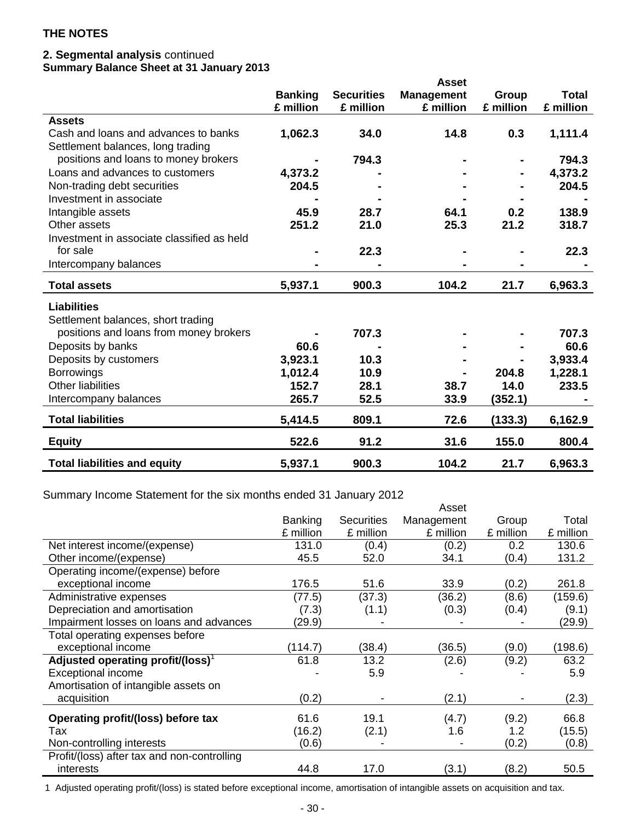## **2. Segmental analysis** continued

## **Summary Balance Sheet at 31 January 2013**

| Total<br>£ million |
|--------------------|
|                    |
|                    |
|                    |
| 1,111.4            |
|                    |
| 794.3              |
| 4,373.2            |
| 204.5              |
|                    |
| 138.9              |
| 318.7              |
|                    |
| 22.3               |
|                    |
| 6,963.3            |
|                    |
|                    |
| 707.3              |
| 60.6               |
| 3,933.4            |
| 1,228.1            |
| 233.5              |
|                    |
| 6,162.9            |
| 800.4              |
| 6,963.3            |
|                    |

Summary Income Statement for the six months ended 31 January 2012

|                                               |                |                   | Asset      |           |           |
|-----------------------------------------------|----------------|-------------------|------------|-----------|-----------|
|                                               | <b>Banking</b> | <b>Securities</b> | Management | Group     | Total     |
|                                               | £ million      | £ million         | £ million  | £ million | £ million |
| Net interest income/(expense)                 | 131.0          | (0.4)             | (0.2)      | 0.2       | 130.6     |
| Other income/(expense)                        | 45.5           | 52.0              | 34.1       | (0.4)     | 131.2     |
| Operating income/(expense) before             |                |                   |            |           |           |
| exceptional income                            | 176.5          | 51.6              | 33.9       | (0.2)     | 261.8     |
| Administrative expenses                       | (77.5)         | (37.3)            | (36.2)     | (8.6)     | (159.6)   |
| Depreciation and amortisation                 | (7.3)          | (1.1)             | (0.3)      | (0.4)     | (9.1)     |
| Impairment losses on loans and advances       | (29.9)         |                   |            |           | (29.9)    |
| Total operating expenses before               |                |                   |            |           |           |
| exceptional income                            | (114.7)        | (38.4)            | (36.5)     | (9.0)     | (198.6)   |
| Adjusted operating profit/(loss) <sup>1</sup> | 61.8           | 13.2              | (2.6)      | (9.2)     | 63.2      |
| <b>Exceptional income</b>                     |                | 5.9               |            |           | 5.9       |
| Amortisation of intangible assets on          |                |                   |            |           |           |
| acquisition                                   | (0.2)          |                   | (2.1)      |           | (2.3)     |
| Operating profit/(loss) before tax            | 61.6           | 19.1              | (4.7)      | (9.2)     | 66.8      |
| Tax                                           | (16.2)         | (2.1)             | 1.6        | 1.2       | (15.5)    |
| Non-controlling interests                     | (0.6)          |                   |            | (0.2)     | (0.8)     |
| Profit/(loss) after tax and non-controlling   |                |                   |            |           |           |
| interests                                     | 44.8           | 17.0              | (3.1)      | (8.2)     | 50.5      |

1 Adjusted operating profit/(loss) is stated before exceptional income, amortisation of intangible assets on acquisition and tax.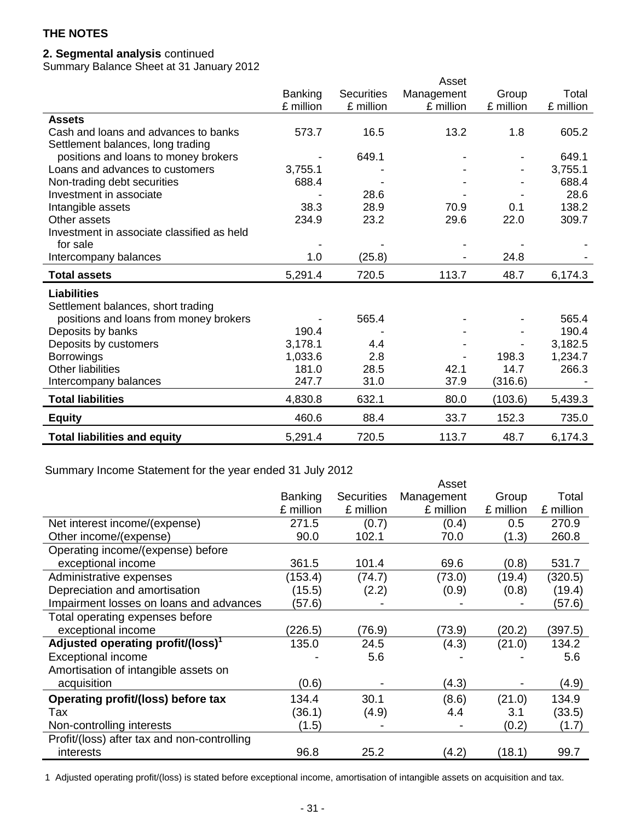## **2. Segmental analysis** continued

Summary Balance Sheet at 31 January 2012

|                                            |           |                   | Asset      |           |           |
|--------------------------------------------|-----------|-------------------|------------|-----------|-----------|
|                                            | Banking   | <b>Securities</b> | Management | Group     | Total     |
|                                            | £ million | £ million         | £ million  | £ million | £ million |
| <b>Assets</b>                              |           |                   |            |           |           |
| Cash and loans and advances to banks       | 573.7     | 16.5              | 13.2       | 1.8       | 605.2     |
| Settlement balances, long trading          |           |                   |            |           |           |
| positions and loans to money brokers       |           | 649.1             |            |           | 649.1     |
| Loans and advances to customers            | 3,755.1   |                   |            |           | 3,755.1   |
| Non-trading debt securities                | 688.4     |                   |            |           | 688.4     |
| Investment in associate                    |           | 28.6              |            |           | 28.6      |
| Intangible assets                          | 38.3      | 28.9              | 70.9       | 0.1       | 138.2     |
| Other assets                               | 234.9     | 23.2              | 29.6       | 22.0      | 309.7     |
| Investment in associate classified as held |           |                   |            |           |           |
| for sale                                   |           |                   |            |           |           |
| Intercompany balances                      | 1.0       | (25.8)            |            | 24.8      |           |
| <b>Total assets</b>                        | 5,291.4   | 720.5             | 113.7      | 48.7      | 6,174.3   |
| <b>Liabilities</b>                         |           |                   |            |           |           |
| Settlement balances, short trading         |           |                   |            |           |           |
| positions and loans from money brokers     |           | 565.4             |            |           | 565.4     |
| Deposits by banks                          | 190.4     |                   |            |           | 190.4     |
| Deposits by customers                      | 3,178.1   | 4.4               |            |           | 3,182.5   |
| <b>Borrowings</b>                          | 1,033.6   | 2.8               |            | 198.3     | 1,234.7   |
| <b>Other liabilities</b>                   | 181.0     | 28.5              | 42.1       | 14.7      | 266.3     |
| Intercompany balances                      | 247.7     | 31.0              | 37.9       | (316.6)   |           |
| <b>Total liabilities</b>                   | 4,830.8   | 632.1             | 80.0       | (103.6)   | 5,439.3   |
| <b>Equity</b>                              | 460.6     | 88.4              | 33.7       | 152.3     | 735.0     |
| <b>Total liabilities and equity</b>        | 5,291.4   | 720.5             | 113.7      | 48.7      | 6,174.3   |

Summary Income Statement for the year ended 31 July 2012

|                                               |                |                   | Asset      |           |           |
|-----------------------------------------------|----------------|-------------------|------------|-----------|-----------|
|                                               | <b>Banking</b> | <b>Securities</b> | Management | Group     | Total     |
|                                               | £ million      | £ million         | £ million  | £ million | £ million |
| Net interest income/(expense)                 | 271.5          | (0.7)             | (0.4)      | 0.5       | 270.9     |
| Other income/(expense)                        | 90.0           | 102.1             | 70.0       | (1.3)     | 260.8     |
| Operating income/(expense) before             |                |                   |            |           |           |
| exceptional income                            | 361.5          | 101.4             | 69.6       | (0.8)     | 531.7     |
| Administrative expenses                       | (153.4)        | (74.7)            | (73.0)     | (19.4)    | (320.5)   |
| Depreciation and amortisation                 | (15.5)         | (2.2)             | (0.9)      | (0.8)     | (19.4)    |
| Impairment losses on loans and advances       | (57.6)         |                   |            |           | (57.6)    |
| Total operating expenses before               |                |                   |            |           |           |
| exceptional income                            | (226.5)        | (76.9)            | (73.9)     | (20.2)    | (397.5)   |
| Adjusted operating profit/(loss) <sup>1</sup> | 135.0          | 24.5              | (4.3)      | (21.0)    | 134.2     |
| <b>Exceptional income</b>                     |                | 5.6               |            |           | 5.6       |
| Amortisation of intangible assets on          |                |                   |            |           |           |
| acquisition                                   | (0.6)          |                   | (4.3)      |           | (4.9)     |
| Operating profit/(loss) before tax            | 134.4          | 30.1              | (8.6)      | (21.0)    | 134.9     |
| Tax                                           | (36.1)         | (4.9)             | 4.4        | 3.1       | (33.5)    |
| Non-controlling interests                     | (1.5)          |                   |            | (0.2)     | (1.7)     |
| Profit/(loss) after tax and non-controlling   |                |                   |            |           |           |
| interests                                     | 96.8           | 25.2              | (4.2)      | (18.1)    | 99.7      |

1 Adjusted operating profit/(loss) is stated before exceptional income, amortisation of intangible assets on acquisition and tax.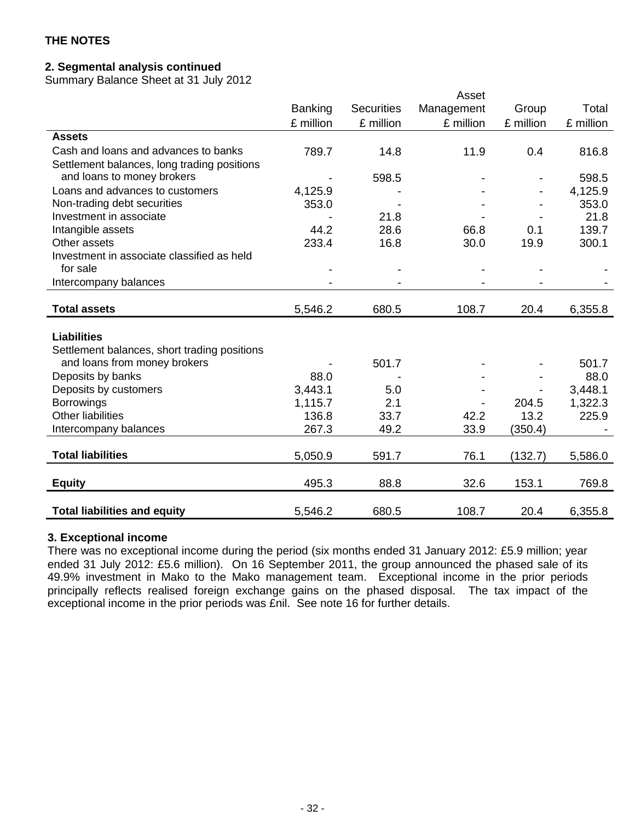## **2. Segmental analysis continued**

Summary Balance Sheet at 31 July 2012

|                                              |                |                   | Asset      |           |           |
|----------------------------------------------|----------------|-------------------|------------|-----------|-----------|
|                                              | <b>Banking</b> | <b>Securities</b> | Management | Group     | Total     |
|                                              | £ million      | £ million         | £ million  | £ million | £ million |
| <b>Assets</b>                                |                |                   |            |           |           |
| Cash and loans and advances to banks         | 789.7          | 14.8              | 11.9       | 0.4       | 816.8     |
| Settlement balances, long trading positions  |                |                   |            |           |           |
| and loans to money brokers                   |                | 598.5             |            |           | 598.5     |
| Loans and advances to customers              | 4,125.9        |                   |            |           | 4,125.9   |
| Non-trading debt securities                  | 353.0          |                   |            |           | 353.0     |
| Investment in associate                      |                | 21.8              |            |           | 21.8      |
| Intangible assets                            | 44.2           | 28.6              | 66.8       | 0.1       | 139.7     |
| Other assets                                 | 233.4          | 16.8              | 30.0       | 19.9      | 300.1     |
| Investment in associate classified as held   |                |                   |            |           |           |
| for sale                                     |                |                   |            |           |           |
| Intercompany balances                        |                |                   |            |           |           |
|                                              |                |                   |            |           |           |
| <b>Total assets</b>                          | 5,546.2        | 680.5             | 108.7      | 20.4      | 6,355.8   |
|                                              |                |                   |            |           |           |
| <b>Liabilities</b>                           |                |                   |            |           |           |
| Settlement balances, short trading positions |                |                   |            |           |           |
| and loans from money brokers                 |                | 501.7             |            |           | 501.7     |
| Deposits by banks                            | 88.0           |                   |            |           | 88.0      |
| Deposits by customers                        | 3,443.1        | 5.0               |            |           | 3,448.1   |
| <b>Borrowings</b>                            | 1,115.7        | 2.1               |            | 204.5     | 1,322.3   |
| <b>Other liabilities</b>                     | 136.8          | 33.7              | 42.2       | 13.2      | 225.9     |
| Intercompany balances                        | 267.3          | 49.2              | 33.9       | (350.4)   |           |
|                                              |                |                   |            |           |           |
| <b>Total liabilities</b>                     | 5,050.9        | 591.7             | 76.1       | (132.7)   | 5,586.0   |
|                                              |                |                   |            |           |           |
| <b>Equity</b>                                | 495.3          | 88.8              | 32.6       | 153.1     | 769.8     |
|                                              |                |                   |            |           |           |
| <b>Total liabilities and equity</b>          | 5,546.2        | 680.5             | 108.7      | 20.4      | 6,355.8   |

## **3. Exceptional income**

There was no exceptional income during the period (six months ended 31 January 2012: £5.9 million; year ended 31 July 2012: £5.6 million). On 16 September 2011, the group announced the phased sale of its 49.9% investment in Mako to the Mako management team. Exceptional income in the prior periods principally reflects realised foreign exchange gains on the phased disposal. The tax impact of the exceptional income in the prior periods was £nil. See note 16 for further details.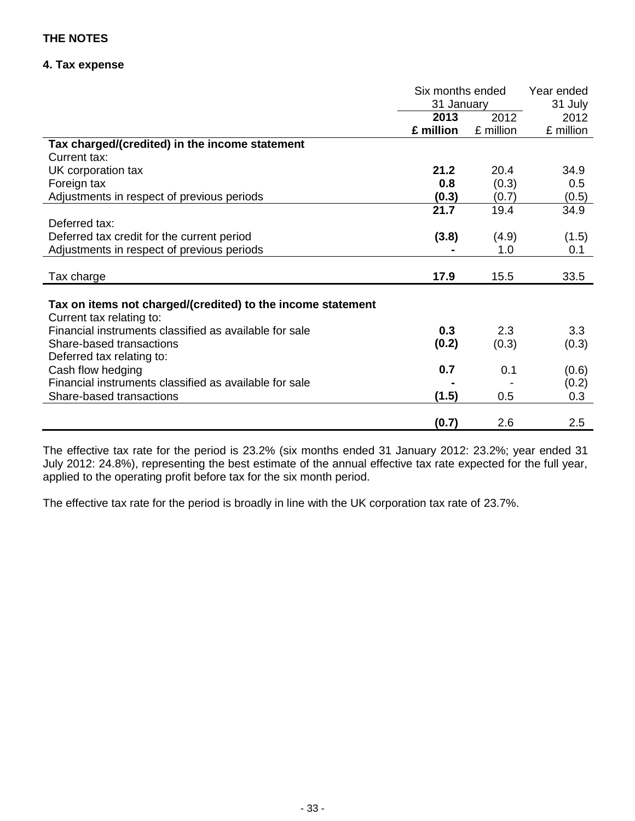## **4. Tax expense**

|                                                             | Six months ended<br>31 January |           | Year ended<br>31 July |
|-------------------------------------------------------------|--------------------------------|-----------|-----------------------|
|                                                             | 2013                           | 2012      | 2012                  |
|                                                             | £ million                      | £ million | £ million             |
| Tax charged/(credited) in the income statement              |                                |           |                       |
| Current tax:                                                |                                |           |                       |
| UK corporation tax                                          | 21.2                           | 20.4      | 34.9                  |
| Foreign tax                                                 | 0.8                            | (0.3)     | 0.5                   |
| Adjustments in respect of previous periods                  | (0.3)                          | (0.7)     | (0.5)                 |
|                                                             | 21.7                           | 19.4      | 34.9                  |
| Deferred tax:                                               |                                |           |                       |
| Deferred tax credit for the current period                  | (3.8)                          | (4.9)     | (1.5)                 |
| Adjustments in respect of previous periods                  |                                | 1.0       | 0.1                   |
| Tax charge                                                  | 17.9                           | 15.5      | 33.5                  |
|                                                             |                                |           |                       |
| Tax on items not charged/(credited) to the income statement |                                |           |                       |
| Current tax relating to:                                    |                                |           |                       |
| Financial instruments classified as available for sale      | 0.3                            | 2.3       | 3.3                   |
| Share-based transactions                                    | (0.2)                          | (0.3)     | (0.3)                 |
| Deferred tax relating to:                                   |                                |           |                       |
| Cash flow hedging                                           | 0.7                            | 0.1       | (0.6)                 |
| Financial instruments classified as available for sale      |                                |           | (0.2)                 |
| Share-based transactions                                    | (1.5)                          | 0.5       | 0.3                   |
|                                                             |                                |           |                       |
|                                                             | (0.7)                          | 2.6       | 2.5                   |

The effective tax rate for the period is 23.2% (six months ended 31 January 2012: 23.2%; year ended 31 July 2012: 24.8%), representing the best estimate of the annual effective tax rate expected for the full year, applied to the operating profit before tax for the six month period.

The effective tax rate for the period is broadly in line with the UK corporation tax rate of 23.7%.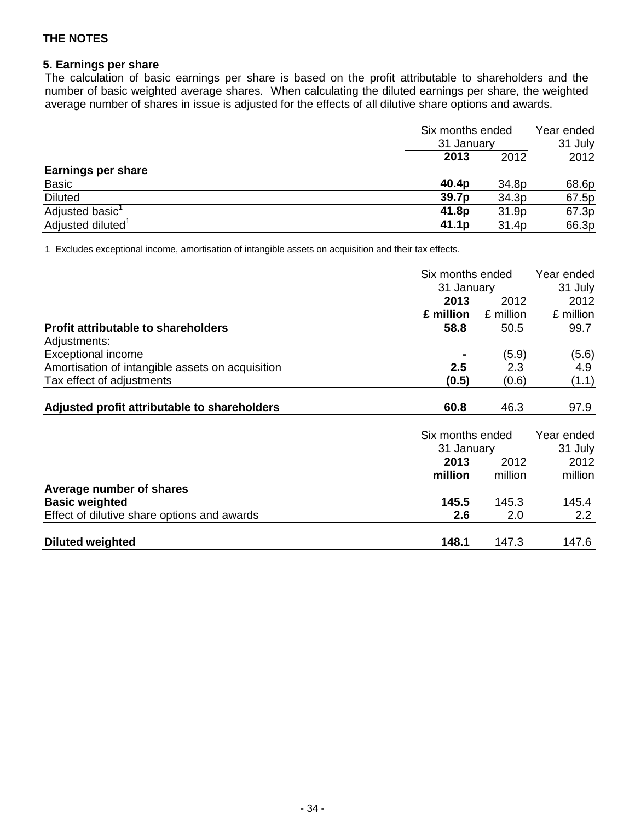## **5. Earnings per share**

The calculation of basic earnings per share is based on the profit attributable to shareholders and the number of basic weighted average shares. When calculating the diluted earnings per share, the weighted average number of shares in issue is adjusted for the effects of all dilutive share options and awards.

|                               | Six months ended | Year ended |       |
|-------------------------------|------------------|------------|-------|
|                               |                  | 31 January |       |
|                               | 2013             | 2012       | 2012  |
| <b>Earnings per share</b>     |                  |            |       |
| <b>Basic</b>                  | 40.4p            | 34.8p      | 68.6p |
| <b>Diluted</b>                | 39.7p            | 34.3p      | 67.5p |
| Adjusted basic <sup>1</sup>   | 41.8p            | 31.9p      | 67.3p |
| Adjusted diluted <sup>1</sup> | 41.1p            | 31.4p      | 66.3p |

1 Excludes exceptional income, amortisation of intangible assets on acquisition and their tax effects.

|                                                  | Six months ended |           | Year ended       |
|--------------------------------------------------|------------------|-----------|------------------|
|                                                  | 31 January       | 31 July   |                  |
|                                                  | 2013             | 2012      | 2012             |
|                                                  | £ million        | £ million | £ million        |
| <b>Profit attributable to shareholders</b>       | 58.8             | 50.5      | 99.7             |
| Adjustments:                                     |                  |           |                  |
| <b>Exceptional income</b>                        |                  | (5.9)     | (5.6)            |
| Amortisation of intangible assets on acquisition | 2.5              | 2.3       | 4.9              |
| Tax effect of adjustments                        | (0.5)            | (0.6)     | (1.1)            |
| Adjusted profit attributable to shareholders     | 60.8             | 46.3      | 97.9             |
|                                                  | Six months ended |           | Year ended       |
|                                                  | 31 January       |           | 31 July          |
|                                                  | 2013             | 2012      | 2012             |
|                                                  | million          | million   | million          |
| Average number of shares                         |                  |           |                  |
| <b>Basic weighted</b>                            | 145.5            | 145.3     | 145.4            |
| Effect of dilutive share options and awards      | 2.6              | 2.0       | $2.2\phantom{0}$ |
| <b>Diluted weighted</b>                          | 148.1            | 147.3     | 147.6            |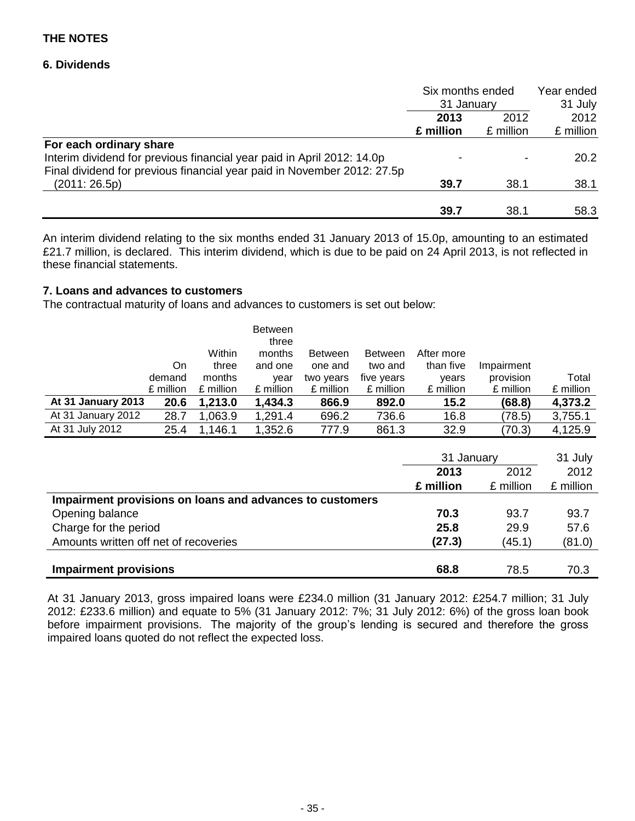## **6. Dividends**

|                                                                         | Six months ended<br>31 January |           | Year ended |
|-------------------------------------------------------------------------|--------------------------------|-----------|------------|
|                                                                         |                                |           | 31 July    |
|                                                                         | 2012<br>2013                   |           | 2012       |
|                                                                         | £ million                      | £ million | £ million  |
| For each ordinary share                                                 |                                |           |            |
| Interim dividend for previous financial year paid in April 2012: 14.0p  |                                |           | 20.2       |
| Final dividend for previous financial year paid in November 2012: 27.5p |                                |           |            |
| (2011:26.5p)                                                            | 39.7                           | 38.1      | 38.1       |
|                                                                         | 39.7                           | 38.1      | 58.3       |

An interim dividend relating to the six months ended 31 January 2013 of 15.0p, amounting to an estimated £21.7 million, is declared. This interim dividend, which is due to be paid on 24 April 2013, is not reflected in these financial statements.

## **7. Loans and advances to customers**

The contractual maturity of loans and advances to customers is set out below:

|                           |           |           | <b>Between</b><br>three |                |            |            |            |           |
|---------------------------|-----------|-----------|-------------------------|----------------|------------|------------|------------|-----------|
|                           |           | Within    | months                  | <b>Between</b> | Between    | After more |            |           |
|                           | On        | three     | and one                 | one and        | two and    | than five  | Impairment |           |
|                           | demand    | months    | year                    | two years      | five years | years      | provision  | Total     |
|                           | £ million | £ million | £ million               | £ million      | £ million  | £ million  | £ million  | £ million |
| <b>At 31 January 2013</b> | 20.6      | 1,213.0   | 1,434.3                 | 866.9          | 892.0      | 15.2       | (68.8)     | 4,373.2   |
| At 31 January 2012        | 28.7      | 1,063.9   | 1,291.4                 | 696.2          | 736.6      | 16.8       | (78.5)     | 3,755.1   |
| At 31 July 2012           | 25.4      | 1,146.1   | 1,352.6                 | 777.9          | 861.3      | 32.9       | (70.3)     | 4,125.9   |

|                                                          | 31 January |           | 31 July   |
|----------------------------------------------------------|------------|-----------|-----------|
|                                                          | 2013       | 2012      | 2012      |
|                                                          | £ million  | £ million | £ million |
| Impairment provisions on loans and advances to customers |            |           |           |
| Opening balance                                          | 70.3       | 93.7      | 93.7      |
| Charge for the period                                    | 25.8       | 29.9      | 57.6      |
| Amounts written off net of recoveries                    | (27.3)     | (45.1)    | (81.0)    |
|                                                          |            |           |           |
| <b>Impairment provisions</b>                             | 68.8       | 78.5      | 70.3      |

At 31 January 2013, gross impaired loans were £234.0 million (31 January 2012: £254.7 million; 31 July 2012: £233.6 million) and equate to 5% (31 January 2012: 7%; 31 July 2012: 6%) of the gross loan book before impairment provisions. The majority of the group's lending is secured and therefore the gross impaired loans quoted do not reflect the expected loss.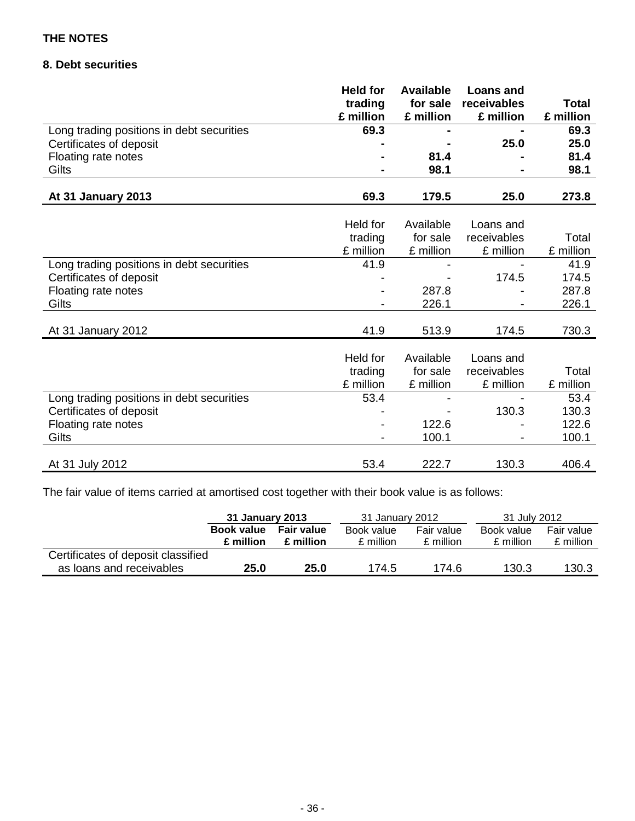## **8. Debt securities**

|                                           | <b>Held for</b> | <b>Available</b> | <b>Loans and</b> |              |
|-------------------------------------------|-----------------|------------------|------------------|--------------|
|                                           | trading         | for sale         | receivables      | <b>Total</b> |
|                                           | £ million       | £ million        | £ million        | £ million    |
| Long trading positions in debt securities | 69.3            |                  |                  | 69.3         |
| Certificates of deposit                   |                 |                  | 25.0             | 25.0         |
| Floating rate notes                       |                 | 81.4             |                  | 81.4         |
| Gilts                                     |                 | 98.1             |                  | 98.1         |
|                                           |                 |                  |                  |              |
| At 31 January 2013                        | 69.3            | 179.5            | 25.0             | 273.8        |
|                                           |                 |                  |                  |              |
|                                           | Held for        | Available        | Loans and        |              |
|                                           | trading         | for sale         | receivables      | Total        |
|                                           | £ million       | £ million        | £ million        | £ million    |
| Long trading positions in debt securities | 41.9            |                  |                  | 41.9         |
| Certificates of deposit                   |                 |                  | 174.5            | 174.5        |
| Floating rate notes                       |                 | 287.8            |                  | 287.8        |
| Gilts                                     |                 | 226.1            |                  | 226.1        |
|                                           |                 |                  |                  |              |
| At 31 January 2012                        | 41.9            | 513.9            | 174.5            | 730.3        |
|                                           |                 |                  |                  |              |
|                                           | Held for        | Available        | Loans and        |              |
|                                           | trading         | for sale         | receivables      | Total        |
|                                           | £ million       | £ million        | £ million        | £ million    |
| Long trading positions in debt securities | 53.4            |                  |                  | 53.4         |
| Certificates of deposit                   |                 |                  | 130.3            | 130.3        |
| Floating rate notes                       |                 | 122.6            |                  | 122.6        |
| Gilts                                     |                 | 100.1            |                  | 100.1        |
|                                           |                 |                  |                  |              |
| At 31 July 2012                           | 53.4            | 222.7            | 130.3            | 406.4        |

The fair value of items carried at amortised cost together with their book value is as follows:

|                                    | 31 January 2013   |                   | 31 January 2012 |            | 31 July 2012 |            |
|------------------------------------|-------------------|-------------------|-----------------|------------|--------------|------------|
|                                    | <b>Book value</b> | <b>Fair value</b> | Book value      | Fair value | Book value   | Fair value |
|                                    | £ million         | £ million         | £ million       | £ million  | £ million    | £ million  |
| Certificates of deposit classified |                   |                   |                 |            |              |            |
| as loans and receivables           | 25.0              | 25.0              | 174.5           | 174.6      | 130.3        | 130.3      |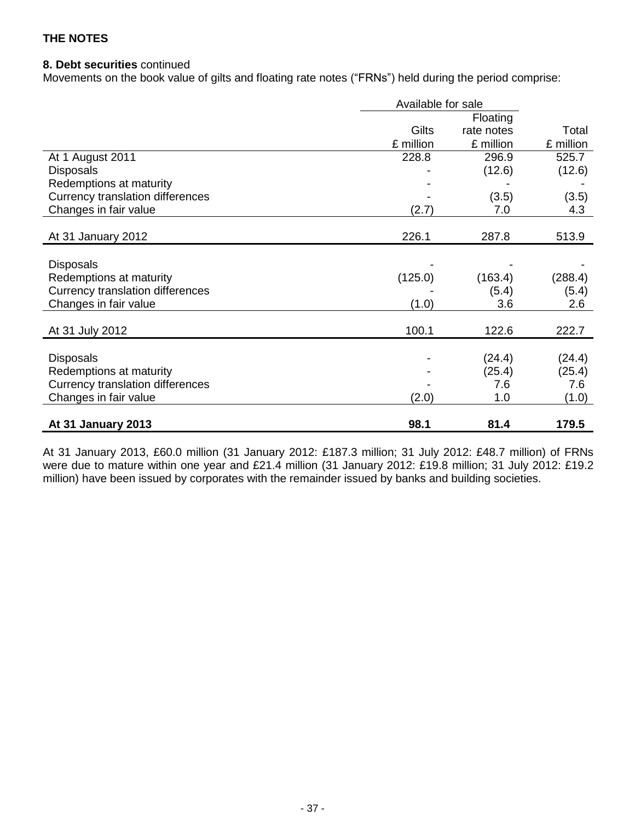## **8. Debt securities** continued

Movements on the book value of gilts and floating rate notes ("FRNs") held during the period comprise:

|                                         | Available for sale |            |           |
|-----------------------------------------|--------------------|------------|-----------|
|                                         |                    | Floating   |           |
|                                         | <b>Gilts</b>       | rate notes | Total     |
|                                         | £ million          | £ million  | £ million |
| At 1 August 2011                        | 228.8              | 296.9      | 525.7     |
| <b>Disposals</b>                        |                    | (12.6)     | (12.6)    |
| Redemptions at maturity                 |                    |            |           |
| <b>Currency translation differences</b> |                    | (3.5)      | (3.5)     |
| Changes in fair value                   | (2.7)              | 7.0        | 4.3       |
|                                         |                    |            |           |
| At 31 January 2012                      | 226.1              | 287.8      | 513.9     |
|                                         |                    |            |           |
| <b>Disposals</b>                        |                    |            |           |
| Redemptions at maturity                 | (125.0)            | (163.4)    | (288.4)   |
| <b>Currency translation differences</b> |                    | (5.4)      | (5.4)     |
| Changes in fair value                   | (1.0)              | 3.6        | 2.6       |
|                                         |                    |            |           |
| At 31 July 2012                         | 100.1              | 122.6      | 222.7     |
|                                         |                    |            |           |
| <b>Disposals</b>                        |                    | (24.4)     | (24.4)    |
| Redemptions at maturity                 |                    | (25.4)     | (25.4)    |
| Currency translation differences        |                    | 7.6        | 7.6       |
| Changes in fair value                   | (2.0)              | 1.0        | (1.0)     |
|                                         |                    |            |           |
| At 31 January 2013                      | 98.1               | 81.4       | 179.5     |

At 31 January 2013, £60.0 million (31 January 2012: £187.3 million; 31 July 2012: £48.7 million) of FRNs were due to mature within one year and £21.4 million (31 January 2012: £19.8 million; 31 July 2012: £19.2 million) have been issued by corporates with the remainder issued by banks and building societies.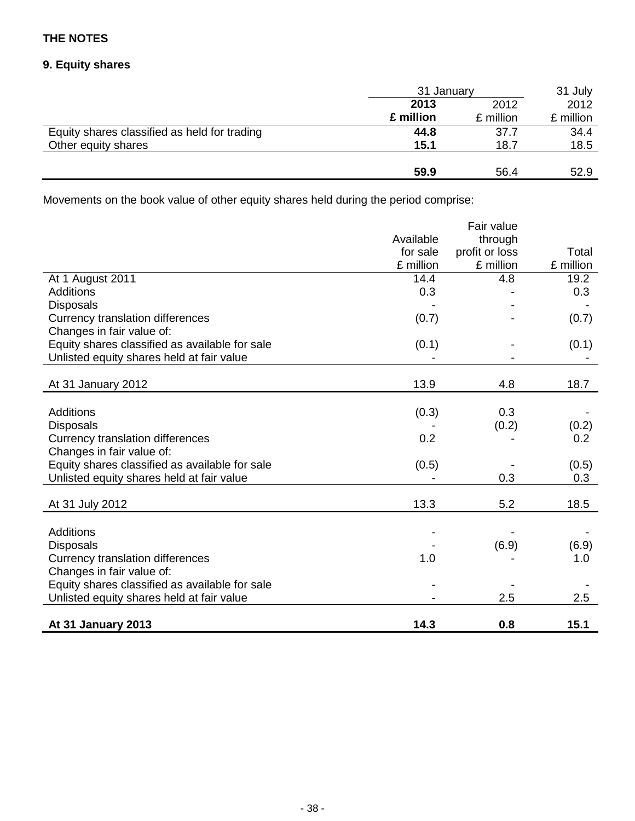## **9. Equity shares**

| 31 January |           | 31 July   |
|------------|-----------|-----------|
| 2013       | 2012      | 2012      |
| £ million  | £ million | £ million |
| 44.8       | 37.7      | 34.4      |
| 15.1       | 18.7      | 18.5      |
|            |           |           |
| 59.9       | 56.4      | 52.9      |
|            |           |           |

Movements on the book value of other equity shares held during the period comprise:

|                                                | Available<br>for sale<br>£ million | Fair value<br>through<br>profit or loss<br>£ million | Total<br>£ million |
|------------------------------------------------|------------------------------------|------------------------------------------------------|--------------------|
| At 1 August 2011                               | 14.4                               | 4.8                                                  | 19.2               |
| <b>Additions</b>                               | 0.3                                |                                                      | 0.3                |
| <b>Disposals</b>                               |                                    |                                                      |                    |
| <b>Currency translation differences</b>        | (0.7)                              |                                                      | (0.7)              |
| Changes in fair value of:                      |                                    |                                                      |                    |
| Equity shares classified as available for sale | (0.1)                              |                                                      | (0.1)              |
| Unlisted equity shares held at fair value      |                                    |                                                      |                    |
|                                                |                                    |                                                      |                    |
| At 31 January 2012                             | 13.9                               | 4.8                                                  | 18.7               |
|                                                |                                    |                                                      |                    |
| <b>Additions</b>                               | (0.3)                              | 0.3                                                  |                    |
| <b>Disposals</b>                               |                                    | (0.2)                                                | (0.2)              |
| Currency translation differences               | 0.2                                |                                                      | 0.2                |
| Changes in fair value of:                      |                                    |                                                      |                    |
| Equity shares classified as available for sale | (0.5)                              |                                                      | (0.5)              |
| Unlisted equity shares held at fair value      |                                    | 0.3                                                  | 0.3                |
|                                                |                                    |                                                      |                    |
| At 31 July 2012                                | 13.3                               | 5.2                                                  | 18.5               |
|                                                |                                    |                                                      |                    |
| <b>Additions</b>                               |                                    |                                                      |                    |
| <b>Disposals</b>                               |                                    | (6.9)                                                | (6.9)              |
| Currency translation differences               | 1.0                                |                                                      | 1.0                |
| Changes in fair value of:                      |                                    |                                                      |                    |
| Equity shares classified as available for sale |                                    |                                                      |                    |
| Unlisted equity shares held at fair value      |                                    | 2.5                                                  | 2.5                |
|                                                |                                    |                                                      |                    |
| At 31 January 2013                             | 14.3                               | 0.8                                                  | 15.1               |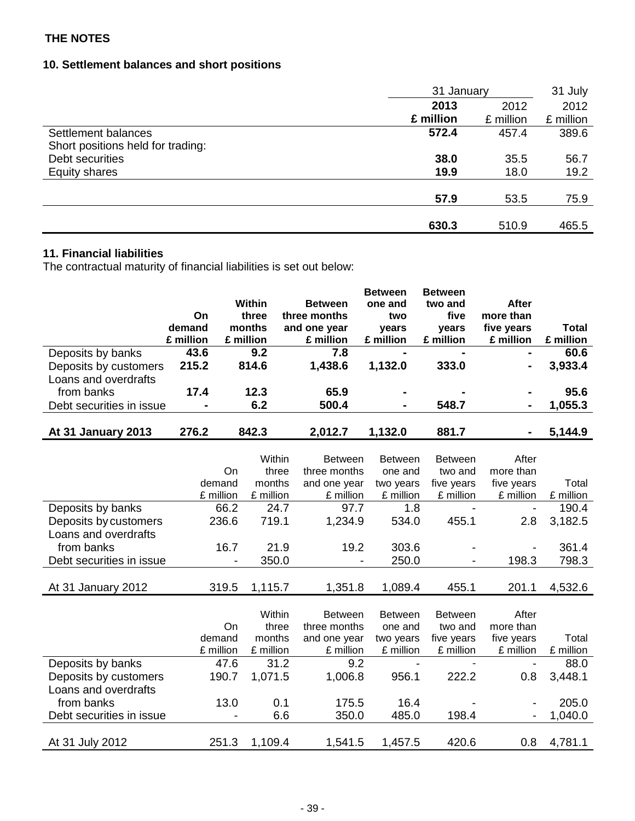## **10. Settlement balances and short positions**

|                                   | 31 January |           | 31 July   |
|-----------------------------------|------------|-----------|-----------|
|                                   | 2013       | 2012      | 2012      |
|                                   | £ million  | £ million | £ million |
| Settlement balances               | 572.4      | 457.4     | 389.6     |
| Short positions held for trading: |            |           |           |
| Debt securities                   | 38.0       | 35.5      | 56.7      |
| <b>Equity shares</b>              | 19.9       | 18.0      | 19.2      |
|                                   |            |           |           |
|                                   | 57.9       | 53.5      | 75.9      |
|                                   |            |           |           |
|                                   | 630.3      | 510.9     | 465.5     |

## **11. Financial liabilities**

The contractual maturity of financial liabilities is set out below:

|                          |           |                     |                     |                           |       | <b>Between</b>         | <b>Between</b>          |                         |                    |
|--------------------------|-----------|---------------------|---------------------|---------------------------|-------|------------------------|-------------------------|-------------------------|--------------------|
|                          |           |                     | <b>Within</b>       | <b>Between</b>            |       | one and                | two and                 | <b>After</b>            |                    |
|                          | On        |                     | three               | three months              |       | two                    | five                    | more than               |                    |
|                          | demand    |                     | months              | and one year              |       | years                  | years                   | five years              | <b>Total</b>       |
|                          | £ million |                     | £ million           | £ million                 |       | £ million              | £ million               | £ million               | £ million          |
| Deposits by banks        | 43.6      |                     | 9.2                 | 7.8                       |       |                        |                         |                         | 60.6               |
| Deposits by customers    | 215.2     |                     | 814.6               | 1,438.6                   |       | 1,132.0                | 333.0                   | $\blacksquare$          | 3,933.4            |
| Loans and overdrafts     |           |                     |                     |                           |       |                        |                         |                         |                    |
| from banks               | 17.4      |                     | 12.3                | 65.9                      |       |                        |                         |                         | 95.6               |
| Debt securities in issue |           |                     | 6.2                 | 500.4                     |       |                        | 548.7                   |                         | 1,055.3            |
|                          |           |                     |                     |                           |       |                        |                         |                         |                    |
| At 31 January 2013       | 276.2     |                     | 842.3               | 2,012.7                   |       | 1,132.0                | 881.7                   |                         | 5,144.9            |
|                          |           |                     |                     |                           |       |                        |                         |                         |                    |
|                          |           |                     | Within              | <b>Between</b>            |       | <b>Between</b>         | <b>Between</b>          | After                   |                    |
|                          |           | On                  | three               | three months              |       | one and                | two and                 | more than               |                    |
|                          |           | demand<br>£ million | months<br>£ million | and one year<br>£ million |       | two years<br>£ million | five years<br>£ million | five years<br>£ million | Total<br>£ million |
|                          |           | 66.2                | 24.7                |                           | 97.7  | 1.8                    |                         | $\blacksquare$          | 190.4              |
| Deposits by banks        |           |                     |                     |                           |       |                        |                         |                         |                    |
| Deposits by customers    |           | 236.6               | 719.1               | 1,234.9                   |       | 534.0                  | 455.1                   | 2.8                     | 3,182.5            |
| Loans and overdrafts     |           |                     |                     |                           |       |                        |                         |                         |                    |
| from banks               |           | 16.7                | 21.9                |                           | 19.2  | 303.6                  |                         |                         | 361.4              |
| Debt securities in issue |           |                     | 350.0               |                           |       | 250.0                  | $\blacksquare$          | 198.3                   | 798.3              |
|                          |           |                     |                     |                           |       |                        |                         |                         |                    |
| At 31 January 2012       |           | 319.5               | 1,115.7             | 1,351.8                   |       | 1,089.4                | 455.1                   | 201.1                   | 4,532.6            |
|                          |           |                     | Within              | <b>Between</b>            |       | <b>Between</b>         | <b>Between</b>          | After                   |                    |
|                          |           | On                  | three               | three months              |       | one and                | two and                 | more than               |                    |
|                          |           | demand              | months              | and one year              |       | two years              | five years              | five years              | Total              |
|                          |           | £ million           | £ million           | £ million                 |       | £ million              | £ million               | £ million               | £ million          |
| Deposits by banks        |           | 47.6                | 31.2                |                           | 9.2   |                        |                         |                         | 88.0               |
| Deposits by customers    |           | 190.7               | 1,071.5             | 1,006.8                   |       | 956.1                  | 222.2                   | 0.8                     | 3,448.1            |
| Loans and overdrafts     |           |                     |                     |                           |       |                        |                         |                         |                    |
| from banks               |           | 13.0                | 0.1                 |                           | 175.5 | 16.4                   |                         |                         | 205.0              |
| Debt securities in issue |           |                     | 6.6                 |                           | 350.0 | 485.0                  | 198.4                   |                         | 1,040.0            |
|                          |           |                     |                     |                           |       |                        |                         |                         |                    |
| At 31 July 2012          |           | 251.3               | 1,109.4             | 1,541.5                   |       | 1,457.5                | 420.6                   | 0.8                     | 4,781.1            |
|                          |           |                     |                     |                           |       |                        |                         |                         |                    |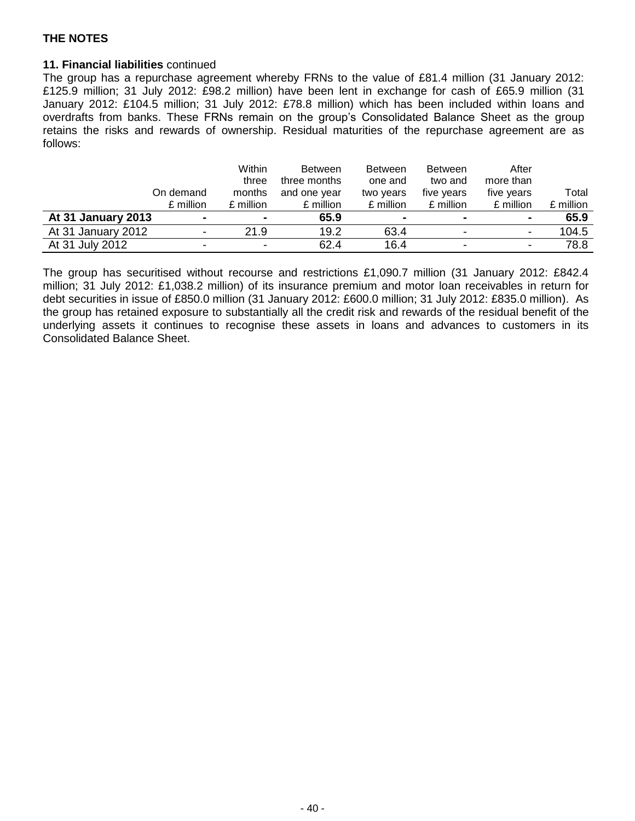## **11. Financial liabilities** continued

The group has a repurchase agreement whereby FRNs to the value of £81.4 million (31 January 2012: £125.9 million; 31 July 2012: £98.2 million) have been lent in exchange for cash of £65.9 million (31 January 2012: £104.5 million; 31 July 2012: £78.8 million) which has been included within loans and overdrafts from banks. These FRNs remain on the group's Consolidated Balance Sheet as the group retains the risks and rewards of ownership. Residual maturities of the repurchase agreement are as follows:

|                                             | Within<br>three | <b>Between</b><br>three months | <b>Between</b><br>one and | <b>Between</b><br>two and | After<br>more than       |           |
|---------------------------------------------|-----------------|--------------------------------|---------------------------|---------------------------|--------------------------|-----------|
| On demand                                   | months          | and one year                   | two years                 | five years                | five years               | Total     |
| £ million                                   | £ million       | £ million                      | £ million                 | £ million                 | £ million                | £ million |
| <b>At 31 January 2013</b><br>$\blacksquare$ | $\blacksquare$  | 65.9                           | $\blacksquare$            | $\overline{\phantom{a}}$  | $\blacksquare$           | 65.9      |
| At 31 January 2012                          | 21.9            | 19.2                           | 63.4                      | $\overline{\phantom{0}}$  | $\overline{\phantom{0}}$ | 104.5     |
| At 31 July 2012                             |                 | 62.4                           | 16.4                      | $\overline{\phantom{0}}$  | $\overline{\phantom{0}}$ | 78.8      |

The group has securitised without recourse and restrictions £1,090.7 million (31 January 2012: £842.4 million; 31 July 2012: £1,038.2 million) of its insurance premium and motor loan receivables in return for debt securities in issue of £850.0 million (31 January 2012: £600.0 million; 31 July 2012: £835.0 million). As the group has retained exposure to substantially all the credit risk and rewards of the residual benefit of the underlying assets it continues to recognise these assets in loans and advances to customers in its Consolidated Balance Sheet.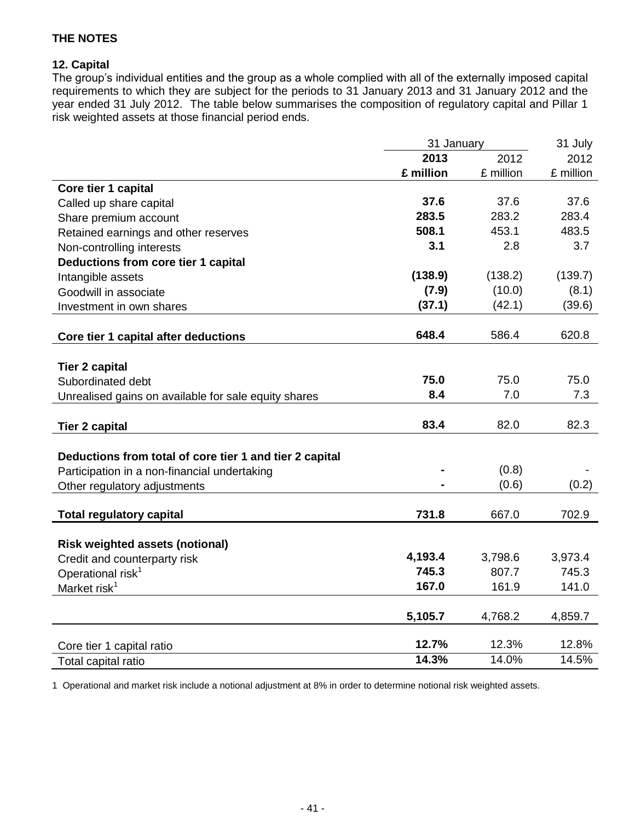## **12. Capital**

The group's individual entities and the group as a whole complied with all of the externally imposed capital requirements to which they are subject for the periods to 31 January 2013 and 31 January 2012 and the year ended 31 July 2012. The table below summarises the composition of regulatory capital and Pillar 1 risk weighted assets at those financial period ends.

|                                                         | 31 January |           | 31 July   |
|---------------------------------------------------------|------------|-----------|-----------|
|                                                         | 2013       | 2012      | 2012      |
|                                                         | £ million  | £ million | £ million |
| Core tier 1 capital                                     |            |           |           |
| Called up share capital                                 | 37.6       | 37.6      | 37.6      |
| Share premium account                                   | 283.5      | 283.2     | 283.4     |
| Retained earnings and other reserves                    | 508.1      | 453.1     | 483.5     |
| Non-controlling interests                               | 3.1        | 2.8       | 3.7       |
| Deductions from core tier 1 capital                     |            |           |           |
| Intangible assets                                       | (138.9)    | (138.2)   | (139.7)   |
| Goodwill in associate                                   | (7.9)      | (10.0)    | (8.1)     |
| Investment in own shares                                | (37.1)     | (42.1)    | (39.6)    |
|                                                         |            |           |           |
| Core tier 1 capital after deductions                    | 648.4      | 586.4     | 620.8     |
|                                                         |            |           |           |
| <b>Tier 2 capital</b>                                   |            |           |           |
| Subordinated debt                                       | 75.0       | 75.0      | 75.0      |
| Unrealised gains on available for sale equity shares    | 8.4        | 7.0       | 7.3       |
|                                                         |            |           |           |
| <b>Tier 2 capital</b>                                   | 83.4       | 82.0      | 82.3      |
|                                                         |            |           |           |
| Deductions from total of core tier 1 and tier 2 capital |            |           |           |
| Participation in a non-financial undertaking            |            | (0.8)     |           |
| Other regulatory adjustments                            |            | (0.6)     | (0.2)     |
|                                                         |            |           |           |
| <b>Total regulatory capital</b>                         | 731.8      | 667.0     | 702.9     |
|                                                         |            |           |           |
| <b>Risk weighted assets (notional)</b>                  |            |           |           |
| Credit and counterparty risk                            | 4,193.4    | 3,798.6   | 3,973.4   |
| Operational risk <sup>1</sup>                           | 745.3      | 807.7     | 745.3     |
| Market risk <sup>1</sup>                                | 167.0      | 161.9     | 141.0     |
|                                                         |            |           |           |
|                                                         | 5,105.7    | 4,768.2   | 4,859.7   |
|                                                         |            |           |           |
| Core tier 1 capital ratio                               | 12.7%      | 12.3%     | 12.8%     |
| Total capital ratio                                     | 14.3%      | 14.0%     | 14.5%     |

1 Operational and market risk include a notional adjustment at 8% in order to determine notional risk weighted assets.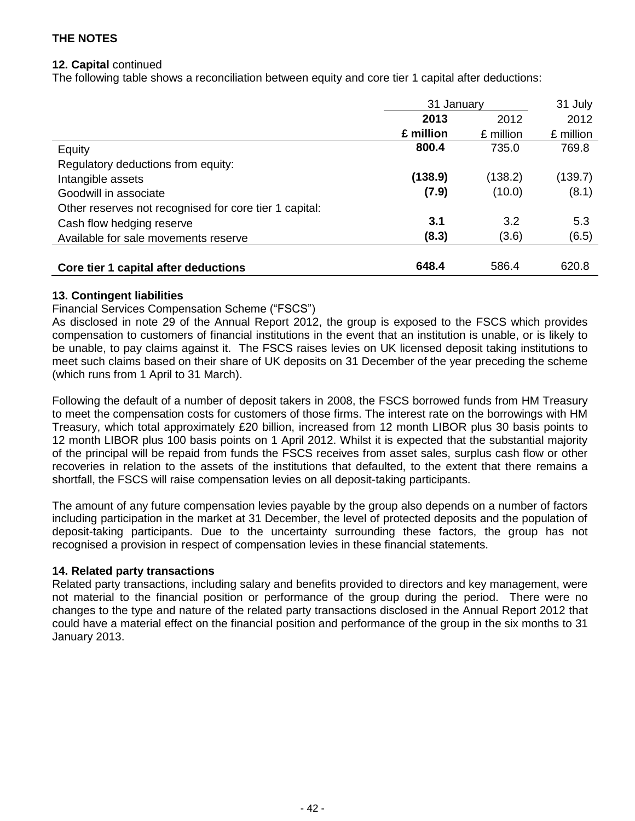## **12. Capital** continued

The following table shows a reconciliation between equity and core tier 1 capital after deductions:

|                                                        | 31 January |           | 31 July   |
|--------------------------------------------------------|------------|-----------|-----------|
|                                                        | 2013       | 2012      | 2012      |
|                                                        | £ million  | £ million | £ million |
| Equity                                                 | 800.4      | 735.0     | 769.8     |
| Regulatory deductions from equity:                     |            |           |           |
| Intangible assets                                      | (138.9)    | (138.2)   | (139.7)   |
| Goodwill in associate                                  | (7.9)      | (10.0)    | (8.1)     |
| Other reserves not recognised for core tier 1 capital: |            |           |           |
| Cash flow hedging reserve                              | 3.1        | 3.2       | 5.3       |
| Available for sale movements reserve                   | (8.3)      | (3.6)     | (6.5)     |
|                                                        |            |           |           |
| Core tier 1 capital after deductions                   | 648.4      | 586.4     | 620.8     |

## **13. Contingent liabilities**

Financial Services Compensation Scheme ("FSCS")

As disclosed in note 29 of the Annual Report 2012, the group is exposed to the FSCS which provides compensation to customers of financial institutions in the event that an institution is unable, or is likely to be unable, to pay claims against it. The FSCS raises levies on UK licensed deposit taking institutions to meet such claims based on their share of UK deposits on 31 December of the year preceding the scheme (which runs from 1 April to 31 March).

Following the default of a number of deposit takers in 2008, the FSCS borrowed funds from HM Treasury to meet the compensation costs for customers of those firms. The interest rate on the borrowings with HM Treasury, which total approximately £20 billion, increased from 12 month LIBOR plus 30 basis points to 12 month LIBOR plus 100 basis points on 1 April 2012. Whilst it is expected that the substantial majority of the principal will be repaid from funds the FSCS receives from asset sales, surplus cash flow or other recoveries in relation to the assets of the institutions that defaulted, to the extent that there remains a shortfall, the FSCS will raise compensation levies on all deposit-taking participants.

The amount of any future compensation levies payable by the group also depends on a number of factors including participation in the market at 31 December, the level of protected deposits and the population of deposit-taking participants. Due to the uncertainty surrounding these factors, the group has not recognised a provision in respect of compensation levies in these financial statements.

## **14. Related party transactions**

Related party transactions, including salary and benefits provided to directors and key management, were not material to the financial position or performance of the group during the period. There were no changes to the type and nature of the related party transactions disclosed in the Annual Report 2012 that could have a material effect on the financial position and performance of the group in the six months to 31 January 2013.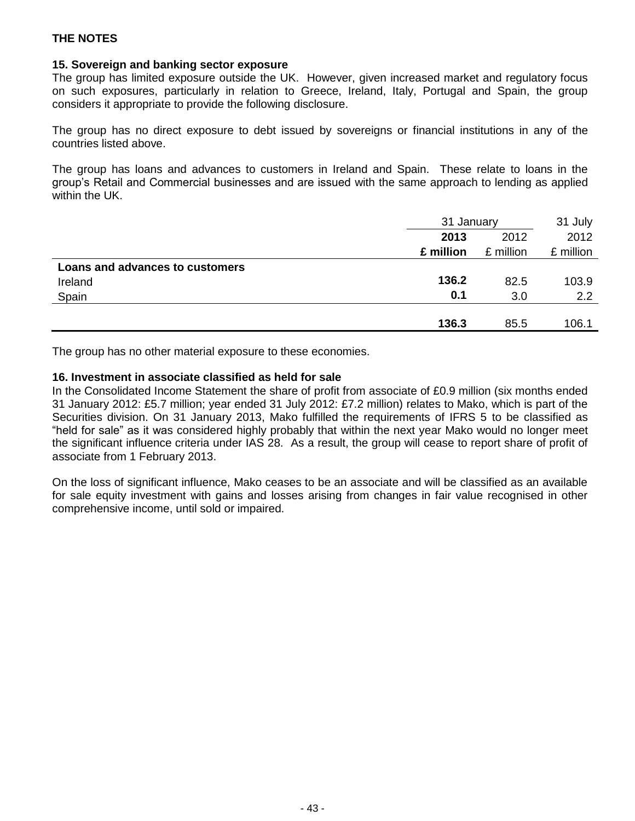## **15. Sovereign and banking sector exposure**

The group has limited exposure outside the UK. However, given increased market and regulatory focus on such exposures, particularly in relation to Greece, Ireland, Italy, Portugal and Spain, the group considers it appropriate to provide the following disclosure.

The group has no direct exposure to debt issued by sovereigns or financial institutions in any of the countries listed above.

The group has loans and advances to customers in Ireland and Spain. These relate to loans in the group's Retail and Commercial businesses and are issued with the same approach to lending as applied within the UK.

|                                 | 31 January |           | 31 July   |
|---------------------------------|------------|-----------|-----------|
|                                 | 2013       | 2012      | 2012      |
|                                 | £ million  | £ million | £ million |
| Loans and advances to customers |            |           |           |
| Ireland                         | 136.2      | 82.5      | 103.9     |
| Spain                           | 0.1        | 3.0       | 2.2       |
|                                 |            |           |           |
|                                 | 136.3      | 85.5      | 106.1     |

The group has no other material exposure to these economies.

#### **16. Investment in associate classified as held for sale**

In the Consolidated Income Statement the share of profit from associate of £0.9 million (six months ended 31 January 2012: £5.7 million; year ended 31 July 2012: £7.2 million) relates to Mako, which is part of the Securities division. On 31 January 2013, Mako fulfilled the requirements of IFRS 5 to be classified as "held for sale" as it was considered highly probably that within the next year Mako would no longer meet the significant influence criteria under IAS 28. As a result, the group will cease to report share of profit of associate from 1 February 2013.

On the loss of significant influence, Mako ceases to be an associate and will be classified as an available for sale equity investment with gains and losses arising from changes in fair value recognised in other comprehensive income, until sold or impaired.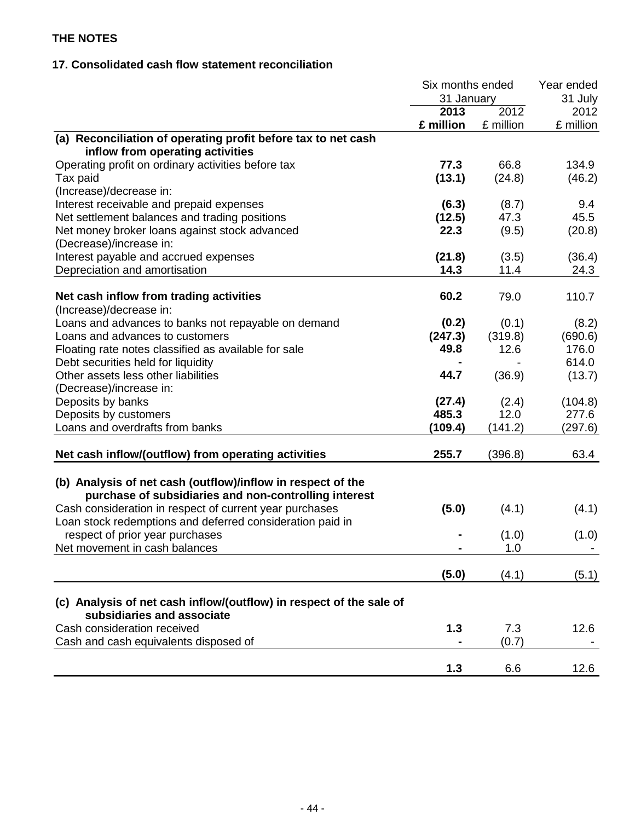## **17. Consolidated cash flow statement reconciliation**

|                                                                                                                                                | Six months ended<br>31 January |                          | Year ended<br>31 July       |  |
|------------------------------------------------------------------------------------------------------------------------------------------------|--------------------------------|--------------------------|-----------------------------|--|
|                                                                                                                                                | 2013<br>£ million              | 2012<br>£ million        | 2012<br>£ million           |  |
| (a) Reconciliation of operating profit before tax to net cash<br>inflow from operating activities                                              |                                |                          |                             |  |
| Operating profit on ordinary activities before tax<br>Tax paid                                                                                 | 77.3<br>(13.1)                 | 66.8<br>(24.8)           | 134.9<br>(46.2)             |  |
| (Increase)/decrease in:<br>Interest receivable and prepaid expenses<br>Net settlement balances and trading positions                           | (6.3)<br>(12.5)                | (8.7)<br>47.3            | 9.4<br>45.5                 |  |
| Net money broker loans against stock advanced<br>(Decrease)/increase in:                                                                       | 22.3                           | (9.5)                    | (20.8)                      |  |
| Interest payable and accrued expenses<br>Depreciation and amortisation                                                                         | (21.8)<br>14.3                 | (3.5)<br>11.4            | (36.4)<br>24.3              |  |
| Net cash inflow from trading activities<br>(Increase)/decrease in:                                                                             | 60.2                           | 79.0                     | 110.7                       |  |
| Loans and advances to banks not repayable on demand<br>Loans and advances to customers<br>Floating rate notes classified as available for sale | (0.2)<br>(247.3)<br>49.8       | (0.1)<br>(319.8)<br>12.6 | (8.2)<br>(690.6)<br>176.0   |  |
| Debt securities held for liquidity<br>Other assets less other liabilities<br>(Decrease)/increase in:                                           | 44.7                           | (36.9)                   | 614.0<br>(13.7)             |  |
| Deposits by banks<br>Deposits by customers<br>Loans and overdrafts from banks                                                                  | (27.4)<br>485.3<br>(109.4)     | (2.4)<br>12.0<br>(141.2) | (104.8)<br>277.6<br>(297.6) |  |
| Net cash inflow/(outflow) from operating activities                                                                                            | 255.7                          | (396.8)                  | 63.4                        |  |
| (b) Analysis of net cash (outflow)/inflow in respect of the<br>purchase of subsidiaries and non-controlling interest                           |                                |                          |                             |  |
| Cash consideration in respect of current year purchases<br>Loan stock redemptions and deferred consideration paid in                           | (5.0)                          | (4.1)                    | (4.1)                       |  |
| respect of prior year purchases<br>Net movement in cash balances                                                                               |                                | (1.0)<br>1.0             | (1.0)                       |  |
|                                                                                                                                                | (5.0)                          | (4.1)                    | (5.1)                       |  |
| (c) Analysis of net cash inflow/(outflow) in respect of the sale of<br>subsidiaries and associate                                              |                                |                          |                             |  |
| Cash consideration received<br>Cash and cash equivalents disposed of                                                                           | 1.3                            | 7.3<br>(0.7)             | 12.6                        |  |
|                                                                                                                                                | 1.3                            | 6.6                      | 12.6                        |  |